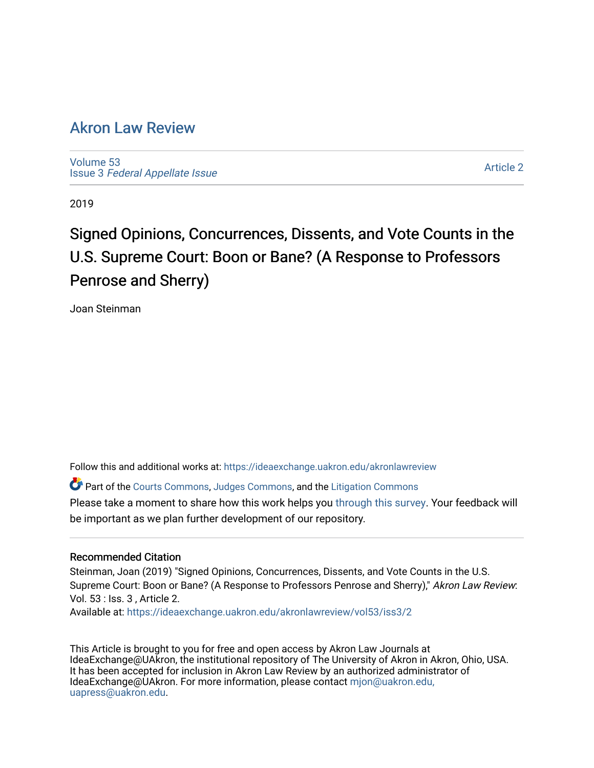# [Akron Law Review](https://ideaexchange.uakron.edu/akronlawreview)

[Volume 53](https://ideaexchange.uakron.edu/akronlawreview/vol53) Issue 3 [Federal Appellate Issue](https://ideaexchange.uakron.edu/akronlawreview/vol53/iss3) 

[Article 2](https://ideaexchange.uakron.edu/akronlawreview/vol53/iss3/2) 

2019

# Signed Opinions, Concurrences, Dissents, and Vote Counts in the U.S. Supreme Court: Boon or Bane? (A Response to Professors Penrose and Sherry)

Joan Steinman

Follow this and additional works at: [https://ideaexchange.uakron.edu/akronlawreview](https://ideaexchange.uakron.edu/akronlawreview?utm_source=ideaexchange.uakron.edu%2Fakronlawreview%2Fvol53%2Fiss3%2F2&utm_medium=PDF&utm_campaign=PDFCoverPages)

Part of the [Courts Commons,](http://network.bepress.com/hgg/discipline/839?utm_source=ideaexchange.uakron.edu%2Fakronlawreview%2Fvol53%2Fiss3%2F2&utm_medium=PDF&utm_campaign=PDFCoverPages) [Judges Commons](http://network.bepress.com/hgg/discipline/849?utm_source=ideaexchange.uakron.edu%2Fakronlawreview%2Fvol53%2Fiss3%2F2&utm_medium=PDF&utm_campaign=PDFCoverPages), and the [Litigation Commons](http://network.bepress.com/hgg/discipline/910?utm_source=ideaexchange.uakron.edu%2Fakronlawreview%2Fvol53%2Fiss3%2F2&utm_medium=PDF&utm_campaign=PDFCoverPages)

Please take a moment to share how this work helps you [through this survey](http://survey.az1.qualtrics.com/SE/?SID=SV_eEVH54oiCbOw05f&URL=https://ideaexchange.uakron.edu/akronlawreview/vol53/iss3/2). Your feedback will be important as we plan further development of our repository.

# Recommended Citation

Steinman, Joan (2019) "Signed Opinions, Concurrences, Dissents, and Vote Counts in the U.S. Supreme Court: Boon or Bane? (A Response to Professors Penrose and Sherry)," Akron Law Review: Vol. 53 : Iss. 3 , Article 2.

Available at: [https://ideaexchange.uakron.edu/akronlawreview/vol53/iss3/2](https://ideaexchange.uakron.edu/akronlawreview/vol53/iss3/2?utm_source=ideaexchange.uakron.edu%2Fakronlawreview%2Fvol53%2Fiss3%2F2&utm_medium=PDF&utm_campaign=PDFCoverPages) 

This Article is brought to you for free and open access by Akron Law Journals at IdeaExchange@UAkron, the institutional repository of The University of Akron in Akron, Ohio, USA. It has been accepted for inclusion in Akron Law Review by an authorized administrator of IdeaExchange@UAkron. For more information, please contact [mjon@uakron.edu,](mailto:mjon@uakron.edu,%20uapress@uakron.edu) [uapress@uakron.edu.](mailto:mjon@uakron.edu,%20uapress@uakron.edu)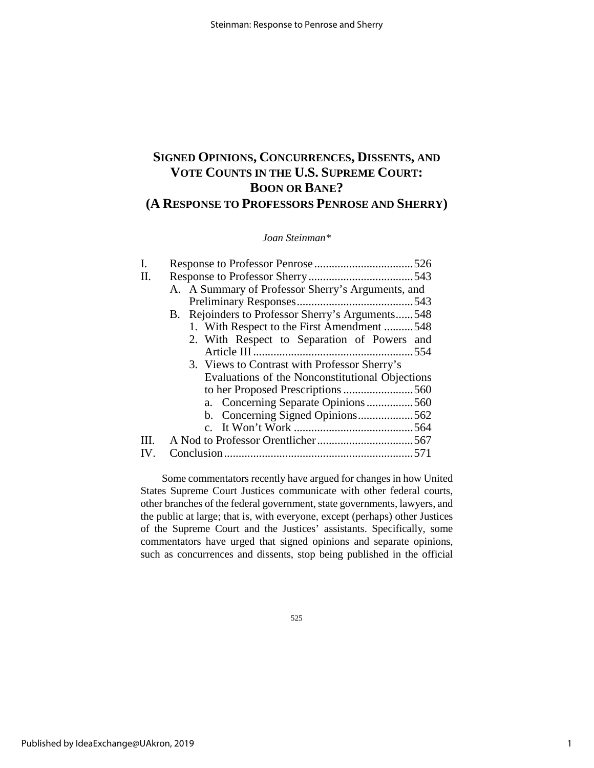# **SIGNED OPINIONS, CONCURRENCES, DISSENTS, AND VOTE COUNTS IN THE U.S. SUPREME COURT: BOON OR BANE? (A RESPONSE TO PROFESSORS PENROSE AND SHERRY)**

# *Joan Steinman\**

| I. |                                                   |     |
|----|---------------------------------------------------|-----|
| H. |                                                   |     |
|    | A. A Summary of Professor Sherry's Arguments, and |     |
|    |                                                   | 543 |
|    | B. Rejoinders to Professor Sherry's Arguments548  |     |
|    | 1. With Respect to the First Amendment 548        |     |
|    | 2. With Respect to Separation of Powers and       |     |
|    |                                                   | 554 |
|    | 3. Views to Contrast with Professor Sherry's      |     |
|    | Evaluations of the Nonconstitutional Objections   |     |
|    |                                                   |     |
|    | a. Concerning Separate Opinions560                |     |
|    |                                                   |     |
|    |                                                   |     |
| Ш. |                                                   |     |
|    |                                                   |     |

Some commentators recently have argued for changes in how United States Supreme Court Justices communicate with other federal courts, other branches of the federal government, state governments, lawyers, and the public at large; that is, with everyone, except (perhaps) other Justices of the Supreme Court and the Justices' assistants. Specifically, some commentators have urged that signed opinions and separate opinions, such as concurrences and dissents, stop being published in the official

525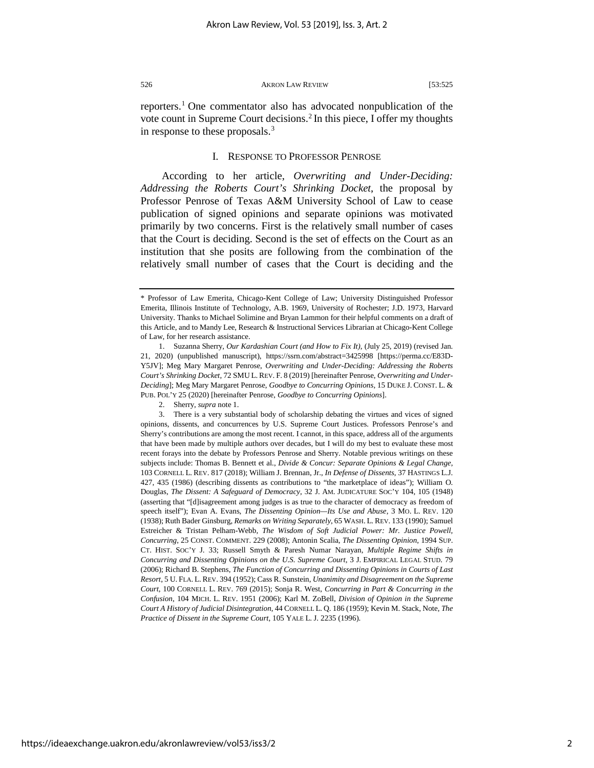reporters.[1](#page-2-0) One commentator also has advocated nonpublication of the vote count in Supreme Court decisions.<sup>[2](#page-2-1)</sup> In this piece, I offer my thoughts in response to these proposals.<sup>[3](#page-2-2)</sup>

# I. RESPONSE TO PROFESSOR PENROSE

According to her article, *Overwriting and Under-Deciding: Addressing the Roberts Court's Shrinking Docket*, the proposal by Professor Penrose of Texas A&M University School of Law to cease publication of signed opinions and separate opinions was motivated primarily by two concerns. First is the relatively small number of cases that the Court is deciding. Second is the set of effects on the Court as an institution that she posits are following from the combination of the relatively small number of cases that the Court is deciding and the

<span id="page-2-0"></span><sup>\*</sup> Professor of Law Emerita, Chicago-Kent College of Law; University Distinguished Professor Emerita, Illinois Institute of Technology, A.B. 1969, University of Rochester; J.D. 1973, Harvard University. Thanks to Michael Solimine and Bryan Lammon for their helpful comments on a draft of this Article, and to Mandy Lee, Research & Instructional Services Librarian at Chicago-Kent College of Law, for her research assistance.

<sup>1.</sup> Suzanna Sherry, *Our Kardashian Court (and How to Fix It)*, (July 25, 2019) (revised Jan. 21, 2020) (unpublished manuscript), https://ssrn.com/abstract=3425998 [https://perma.cc/E83D-Y5JV]; Meg Mary Margaret Penrose, *Overwriting and Under-Deciding: Addressing the Roberts Court's Shrinking Docket*, 72 SMU L. REV. F. 8 (2019) [hereinafter Penrose, *Overwriting and Under-Deciding*]; Meg Mary Margaret Penrose, *Goodbye to Concurring Opinions*, 15 DUKE J. CONST. L. & PUB. POL'Y 25 (2020) [hereinafter Penrose, *Goodbye to Concurring Opinions*].

<sup>2.</sup> Sherry, *supra* note 1.

<span id="page-2-2"></span><span id="page-2-1"></span><sup>3.</sup> There is a very substantial body of scholarship debating the virtues and vices of signed opinions, dissents, and concurrences by U.S. Supreme Court Justices. Professors Penrose's and Sherry's contributions are among the most recent. I cannot, in this space, address all of the arguments that have been made by multiple authors over decades, but I will do my best to evaluate these most recent forays into the debate by Professors Penrose and Sherry. Notable previous writings on these subjects include: Thomas B. Bennett et al., *Divide & Concur: Separate Opinions & Legal Change*, 103 CORNELL L. REV. 817 (2018); William J. Brennan, Jr., *In Defense of Dissents*, 37 HASTINGS L.J. 427, 435 (1986) (describing dissents as contributions to "the marketplace of ideas"); William O. Douglas, *The Dissent: A Safeguard of Democracy*, 32 J. AM. JUDICATURE SOC'Y 104, 105 (1948) (asserting that "[d]isagreement among judges is as true to the character of democracy as freedom of speech itself"); Evan A. Evans, *The Dissenting Opinion—Its Use and Abuse*, 3 MO. L. REV. 120 (1938); Ruth Bader Ginsburg, *Remarks on Writing Separately*, 65 WASH. L. REV. 133 (1990); Samuel Estreicher & Tristan Pelham-Webb, *The Wisdom of Soft Judicial Power: Mr. Justice Powell, Concurring*, 25 CONST. COMMENT. 229 (2008); Antonin Scalia, *The Dissenting Opinion*, 1994 SUP. CT. HIST. SOC'Y J. 33; Russell Smyth & Paresh Numar Narayan, *Multiple Regime Shifts in Concurring and Dissenting Opinions on the U.S. Supreme Court*, 3 J. EMPIRICAL LEGAL STUD. 79 (2006); Richard B. Stephens, *The Function of Concurring and Dissenting Opinions in Courts of Last Resort*, 5 U. FLA. L. REV. 394 (1952); Cass R. Sunstein, *Unanimity and Disagreement on the Supreme Court*, 100 CORNELL L. REV. 769 (2015); Sonja R. West, *Concurring in Part & Concurring in the Confusion*, 104 MICH. L. REV. 1951 (2006); Karl M. ZoBell, *Division of Opinion in the Supreme Court A History of Judicial Disintegration*, 44 CORNELL L. Q. 186 (1959); Kevin M. Stack, Note, *The Practice of Dissent in the Supreme Court*, 105 YALE L. J. 2235 (1996).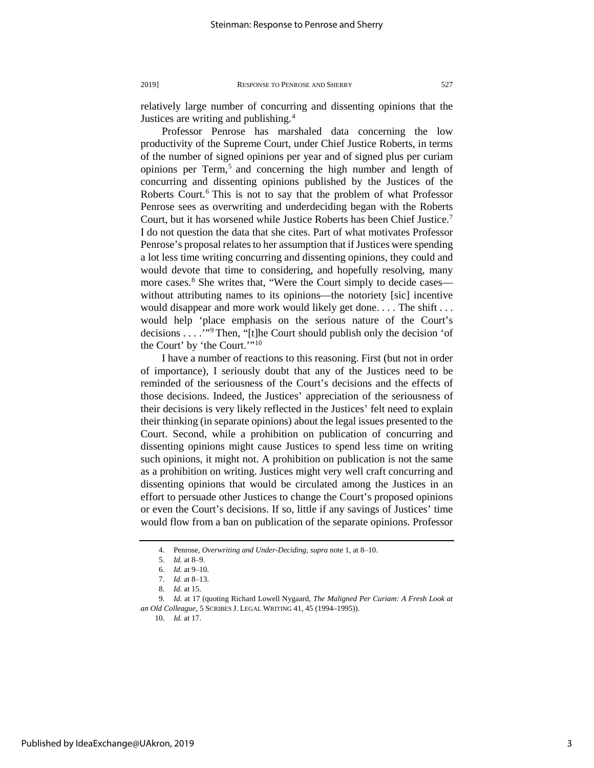relatively large number of concurring and dissenting opinions that the Justices are writing and publishing.<sup>[4](#page-3-0)</sup>

Professor Penrose has marshaled data concerning the low productivity of the Supreme Court, under Chief Justice Roberts, in terms of the number of signed opinions per year and of signed plus per curiam opinions per  $Term<sub>1</sub><sup>5</sup>$  $Term<sub>1</sub><sup>5</sup>$  $Term<sub>1</sub><sup>5</sup>$  and concerning the high number and length of concurring and dissenting opinions published by the Justices of the Roberts Court.<sup>[6](#page-3-2)</sup> This is not to say that the problem of what Professor Penrose sees as overwriting and underdeciding began with the Roberts Court, but it has worsened while Justice Roberts has been Chief Justice[.7](#page-3-3) I do not question the data that she cites. Part of what motivates Professor Penrose's proposal relates to her assumption that if Justices were spending a lot less time writing concurring and dissenting opinions, they could and would devote that time to considering, and hopefully resolving, many more cases.<sup>[8](#page-3-4)</sup> She writes that, "Were the Court simply to decide cases without attributing names to its opinions—the notoriety [sic] incentive would disappear and more work would likely get done.... The shift... would help 'place emphasis on the serious nature of the Court's decisions . . . .'"[9](#page-3-5) Then, "[t]he Court should publish only the decision 'of the Court' by 'the Court.'"[10](#page-3-6)

I have a number of reactions to this reasoning. First (but not in order of importance), I seriously doubt that any of the Justices need to be reminded of the seriousness of the Court's decisions and the effects of those decisions. Indeed, the Justices' appreciation of the seriousness of their decisions is very likely reflected in the Justices' felt need to explain their thinking (in separate opinions) about the legal issues presented to the Court. Second, while a prohibition on publication of concurring and dissenting opinions might cause Justices to spend less time on writing such opinions, it might not. A prohibition on publication is not the same as a prohibition on writing. Justices might very well craft concurring and dissenting opinions that would be circulated among the Justices in an effort to persuade other Justices to change the Court's proposed opinions or even the Court's decisions. If so, little if any savings of Justices' time would flow from a ban on publication of the separate opinions. Professor

<sup>4.</sup> Penrose, *Overwriting and Under-Deciding*, *supra* note 1, at 8–10.

<sup>5.</sup> *Id.* at 8–9.

<sup>6.</sup> *Id.* at 9–10.

<sup>7.</sup> *Id.* at 8–13.

<sup>8.</sup> *Id.* at 15.

<span id="page-3-6"></span><span id="page-3-5"></span><span id="page-3-4"></span><span id="page-3-3"></span><span id="page-3-2"></span><span id="page-3-1"></span><span id="page-3-0"></span><sup>9.</sup> *Id.* at 17 (quoting Richard Lowell Nygaard, *The Maligned Per Curiam: A Fresh Look at an Old Colleague*, 5 SCRIBES J. LEGAL WRITING 41, 45 (1994–1995)).

<sup>10.</sup> *Id.* at 17.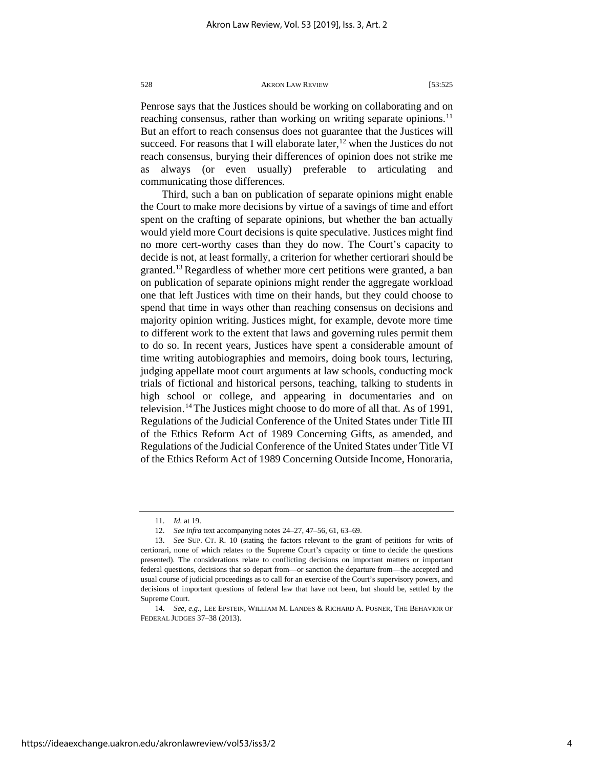Penrose says that the Justices should be working on collaborating and on reaching consensus, rather than working on writing separate opinions.<sup>[11](#page-4-0)</sup> But an effort to reach consensus does not guarantee that the Justices will succeed. For reasons that I will elaborate later,<sup>[12](#page-4-1)</sup> when the Justices do not reach consensus, burying their differences of opinion does not strike me as always (or even usually) preferable to articulating and communicating those differences.

Third, such a ban on publication of separate opinions might enable the Court to make more decisions by virtue of a savings of time and effort spent on the crafting of separate opinions, but whether the ban actually would yield more Court decisions is quite speculative. Justices might find no more cert-worthy cases than they do now. The Court's capacity to decide is not, at least formally, a criterion for whether certiorari should be granted.<sup>[13](#page-4-2)</sup> Regardless of whether more cert petitions were granted, a ban on publication of separate opinions might render the aggregate workload one that left Justices with time on their hands, but they could choose to spend that time in ways other than reaching consensus on decisions and majority opinion writing. Justices might, for example, devote more time to different work to the extent that laws and governing rules permit them to do so. In recent years, Justices have spent a considerable amount of time writing autobiographies and memoirs, doing book tours, lecturing, judging appellate moot court arguments at law schools, conducting mock trials of fictional and historical persons, teaching, talking to students in high school or college, and appearing in documentaries and on television.[14](#page-4-3)The Justices might choose to do more of all that. As of 1991, Regulations of the Judicial Conference of the United States under Title III of the Ethics Reform Act of 1989 Concerning Gifts, as amended, and Regulations of the Judicial Conference of the United States under Title VI of the Ethics Reform Act of 1989 Concerning Outside Income, Honoraria,

<sup>11.</sup> *Id.* at 19.

<sup>12.</sup> *See infra* text accompanying notes 24–27, 47–56, 61, 63–69.

<span id="page-4-2"></span><span id="page-4-1"></span><span id="page-4-0"></span><sup>13.</sup> *See* SUP. CT. R. 10 (stating the factors relevant to the grant of petitions for writs of certiorari, none of which relates to the Supreme Court's capacity or time to decide the questions presented). The considerations relate to conflicting decisions on important matters or important federal questions, decisions that so depart from—or sanction the departure from—the accepted and usual course of judicial proceedings as to call for an exercise of the Court's supervisory powers, and decisions of important questions of federal law that have not been, but should be, settled by the Supreme Court.

<span id="page-4-3"></span><sup>14.</sup> *See, e.g.*, LEE EPSTEIN, WILLIAM M. LANDES & RICHARD A. POSNER, THE BEHAVIOR OF FEDERAL JUDGES 37–38 (2013).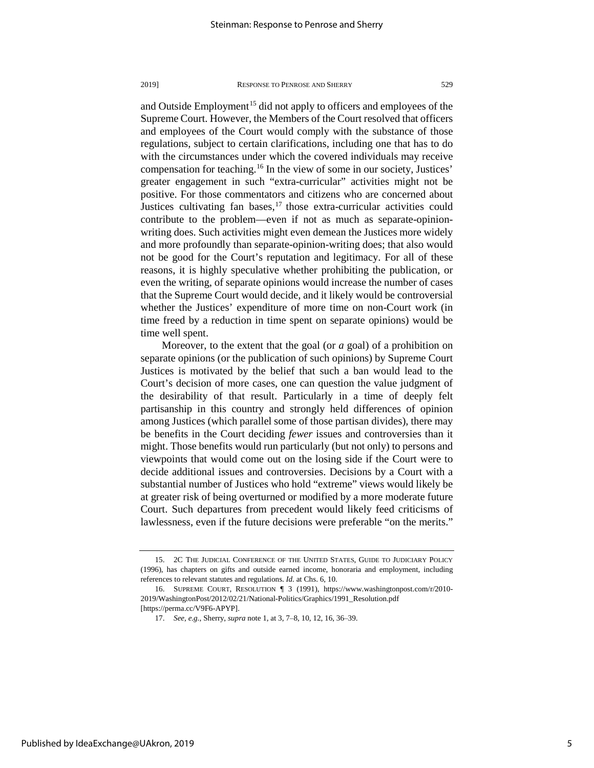and Outside Employment<sup>[15](#page-5-0)</sup> did not apply to officers and employees of the Supreme Court. However, the Members of the Court resolved that officers and employees of the Court would comply with the substance of those regulations, subject to certain clarifications, including one that has to do with the circumstances under which the covered individuals may receive compensation for teaching.<sup>[16](#page-5-1)</sup> In the view of some in our society, Justices' greater engagement in such "extra-curricular" activities might not be positive. For those commentators and citizens who are concerned about Justices cultivating fan bases,  $17$  those extra-curricular activities could contribute to the problem—even if not as much as separate-opinionwriting does. Such activities might even demean the Justices more widely and more profoundly than separate-opinion-writing does; that also would not be good for the Court's reputation and legitimacy. For all of these reasons, it is highly speculative whether prohibiting the publication, or even the writing, of separate opinions would increase the number of cases that the Supreme Court would decide, and it likely would be controversial whether the Justices' expenditure of more time on non-Court work (in time freed by a reduction in time spent on separate opinions) would be time well spent.

Moreover, to the extent that the goal (or *a* goal) of a prohibition on separate opinions (or the publication of such opinions) by Supreme Court Justices is motivated by the belief that such a ban would lead to the Court's decision of more cases, one can question the value judgment of the desirability of that result. Particularly in a time of deeply felt partisanship in this country and strongly held differences of opinion among Justices (which parallel some of those partisan divides), there may be benefits in the Court deciding *fewer* issues and controversies than it might. Those benefits would run particularly (but not only) to persons and viewpoints that would come out on the losing side if the Court were to decide additional issues and controversies. Decisions by a Court with a substantial number of Justices who hold "extreme" views would likely be at greater risk of being overturned or modified by a more moderate future Court. Such departures from precedent would likely feed criticisms of lawlessness, even if the future decisions were preferable "on the merits."

<span id="page-5-0"></span><sup>15.</sup> 2C THE JUDICIAL CONFERENCE OF THE UNITED STATES, GUIDE TO JUDICIARY POLICY (1996), has chapters on gifts and outside earned income, honoraria and employment, including references to relevant statutes and regulations. *Id.* at Chs. 6, 10.

<span id="page-5-2"></span><span id="page-5-1"></span><sup>16.</sup> SUPREME COURT, RESOLUTION ¶ 3 (1991), https://www.washingtonpost.com/r/2010- 2019/WashingtonPost/2012/02/21/National-Politics/Graphics/1991\_Resolution.pdf [https://perma.cc/V9F6-APYP].

<sup>17.</sup> *See, e.g.*, Sherry, *supra* note 1, at 3, 7–8, 10, 12, 16, 36–39.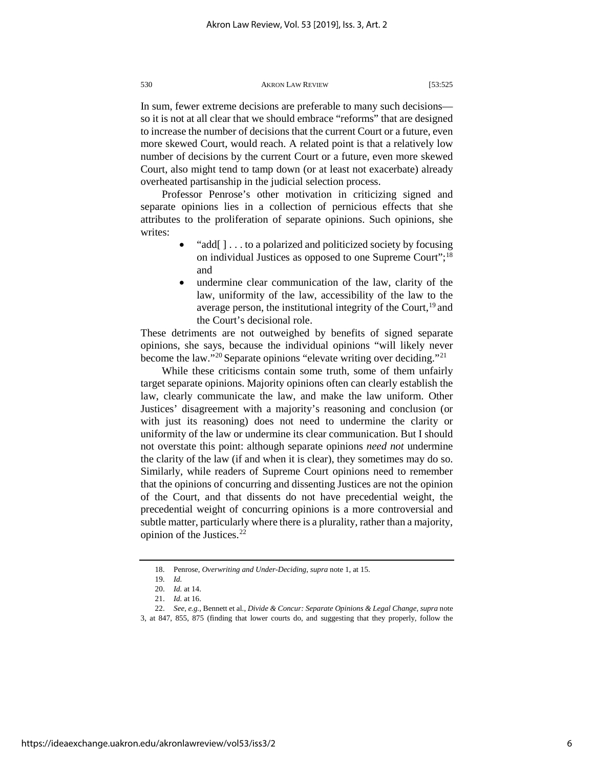In sum, fewer extreme decisions are preferable to many such decisions so it is not at all clear that we should embrace "reforms" that are designed to increase the number of decisions that the current Court or a future, even more skewed Court, would reach. A related point is that a relatively low number of decisions by the current Court or a future, even more skewed Court, also might tend to tamp down (or at least not exacerbate) already overheated partisanship in the judicial selection process.

Professor Penrose's other motivation in criticizing signed and separate opinions lies in a collection of pernicious effects that she attributes to the proliferation of separate opinions. Such opinions, she writes:

- "add[ ] . . . to a polarized and politicized society by focusing on individual Justices as opposed to one Supreme Court";[18](#page-6-0) and
- undermine clear communication of the law, clarity of the law, uniformity of the law, accessibility of the law to the average person, the institutional integrity of the Court,  $19$  and the Court's decisional role.

These detriments are not outweighed by benefits of signed separate opinions, she says, because the individual opinions "will likely never become the law."<sup>[20](#page-6-2)</sup> Separate opinions "elevate writing over deciding."<sup>[21](#page-6-3)</sup>

While these criticisms contain some truth, some of them unfairly target separate opinions. Majority opinions often can clearly establish the law, clearly communicate the law, and make the law uniform. Other Justices' disagreement with a majority's reasoning and conclusion (or with just its reasoning) does not need to undermine the clarity or uniformity of the law or undermine its clear communication. But I should not overstate this point: although separate opinions *need not* undermine the clarity of the law (if and when it is clear), they sometimes may do so. Similarly, while readers of Supreme Court opinions need to remember that the opinions of concurring and dissenting Justices are not the opinion of the Court, and that dissents do not have precedential weight, the precedential weight of concurring opinions is a more controversial and subtle matter, particularly where there is a plurality, rather than a majority, opinion of the Justices. $^{22}$  $^{22}$  $^{22}$ 

<sup>18.</sup> Penrose, *Overwriting and Under-Deciding*, *supra* note 1, at 15.

<sup>19.</sup> *Id.*

<sup>20.</sup> *Id.* at 14.

<sup>21.</sup> *Id.* at 16.

<span id="page-6-4"></span><span id="page-6-3"></span><span id="page-6-2"></span><span id="page-6-1"></span><span id="page-6-0"></span><sup>22.</sup> *See, e.g.*, Bennett et al., *Divide & Concur: Separate Opinions & Legal Change*, *supra* note 3, at 847, 855, 875 (finding that lower courts do, and suggesting that they properly, follow the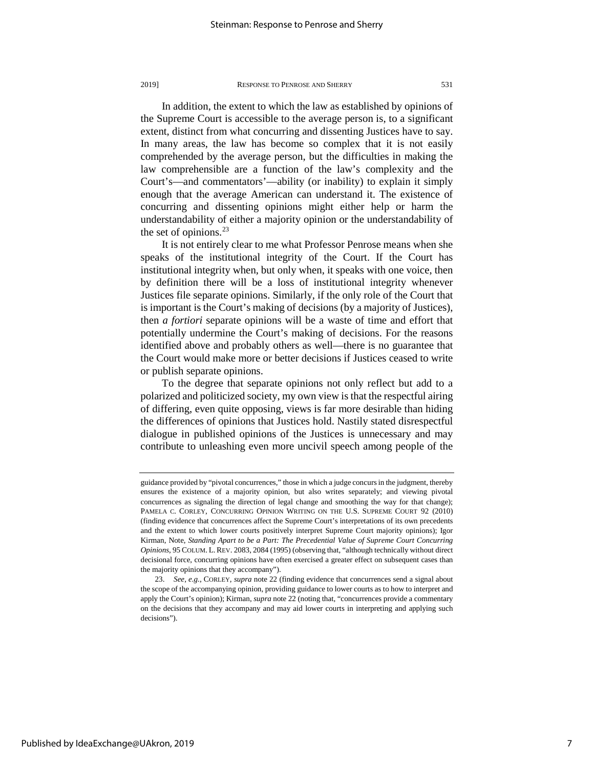In addition, the extent to which the law as established by opinions of the Supreme Court is accessible to the average person is, to a significant extent, distinct from what concurring and dissenting Justices have to say. In many areas, the law has become so complex that it is not easily comprehended by the average person, but the difficulties in making the law comprehensible are a function of the law's complexity and the Court's—and commentators'—ability (or inability) to explain it simply enough that the average American can understand it. The existence of concurring and dissenting opinions might either help or harm the understandability of either a majority opinion or the understandability of the set of opinions. $^{23}$  $^{23}$  $^{23}$ 

It is not entirely clear to me what Professor Penrose means when she speaks of the institutional integrity of the Court. If the Court has institutional integrity when, but only when, it speaks with one voice, then by definition there will be a loss of institutional integrity whenever Justices file separate opinions. Similarly, if the only role of the Court that is important is the Court's making of decisions (by a majority of Justices), then *a fortiori* separate opinions will be a waste of time and effort that potentially undermine the Court's making of decisions. For the reasons identified above and probably others as well—there is no guarantee that the Court would make more or better decisions if Justices ceased to write or publish separate opinions.

To the degree that separate opinions not only reflect but add to a polarized and politicized society, my own view is that the respectful airing of differing, even quite opposing, views is far more desirable than hiding the differences of opinions that Justices hold. Nastily stated disrespectful dialogue in published opinions of the Justices is unnecessary and may contribute to unleashing even more uncivil speech among people of the

guidance provided by "pivotal concurrences," those in which a judge concurs in the judgment, thereby ensures the existence of a majority opinion, but also writes separately; and viewing pivotal concurrences as signaling the direction of legal change and smoothing the way for that change); PAMELA C. CORLEY, CONCURRING OPINION WRITING ON THE U.S. SUPREME COURT 92 (2010) (finding evidence that concurrences affect the Supreme Court's interpretations of its own precedents and the extent to which lower courts positively interpret Supreme Court majority opinions); Igor Kirman, Note, *Standing Apart to be a Part: The Precedential Value of Supreme Court Concurring Opinions*, 95 COLUM. L. REV. 2083, 2084 (1995) (observing that, "although technically without direct decisional force, concurring opinions have often exercised a greater effect on subsequent cases than the majority opinions that they accompany").

<span id="page-7-0"></span><sup>23.</sup> *See, e.g.*, CORLEY, *supra* note 22 (finding evidence that concurrences send a signal about the scope of the accompanying opinion, providing guidance to lower courts as to how to interpret and apply the Court's opinion); Kirman, *supra* note 22 (noting that, "concurrences provide a commentary on the decisions that they accompany and may aid lower courts in interpreting and applying such decisions").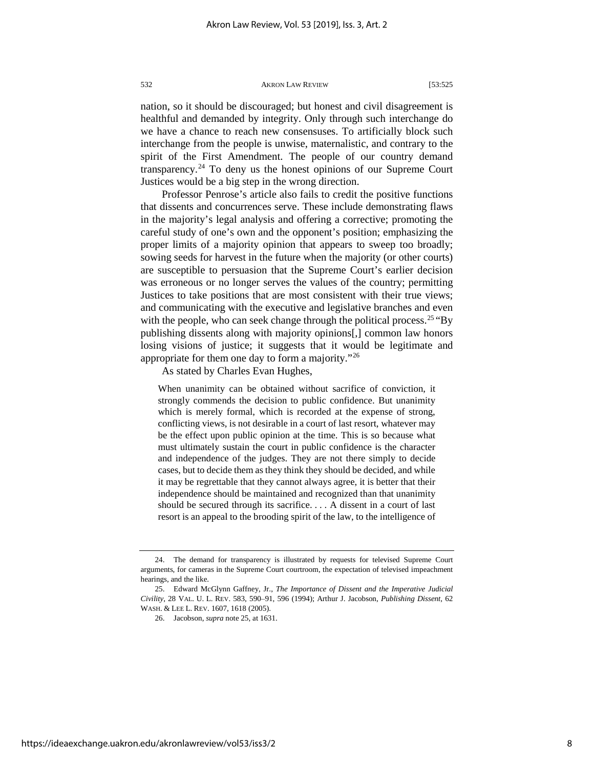nation, so it should be discouraged; but honest and civil disagreement is healthful and demanded by integrity. Only through such interchange do we have a chance to reach new consensuses. To artificially block such interchange from the people is unwise, maternalistic, and contrary to the spirit of the First Amendment. The people of our country demand transparency.<sup>[24](#page-8-0)</sup> To deny us the honest opinions of our Supreme Court Justices would be a big step in the wrong direction.

Professor Penrose's article also fails to credit the positive functions that dissents and concurrences serve. These include demonstrating flaws in the majority's legal analysis and offering a corrective; promoting the careful study of one's own and the opponent's position; emphasizing the proper limits of a majority opinion that appears to sweep too broadly; sowing seeds for harvest in the future when the majority (or other courts) are susceptible to persuasion that the Supreme Court's earlier decision was erroneous or no longer serves the values of the country; permitting Justices to take positions that are most consistent with their true views; and communicating with the executive and legislative branches and even with the people, who can seek change through the political process.<sup>[25](#page-8-1)</sup> "By publishing dissents along with majority opinions[,] common law honors losing visions of justice; it suggests that it would be legitimate and appropriate for them one day to form a majority."[26](#page-8-2)

As stated by Charles Evan Hughes,

When unanimity can be obtained without sacrifice of conviction, it strongly commends the decision to public confidence. But unanimity which is merely formal, which is recorded at the expense of strong, conflicting views, is not desirable in a court of last resort, whatever may be the effect upon public opinion at the time. This is so because what must ultimately sustain the court in public confidence is the character and independence of the judges. They are not there simply to decide cases, but to decide them as they think they should be decided, and while it may be regrettable that they cannot always agree, it is better that their independence should be maintained and recognized than that unanimity should be secured through its sacrifice. . . . A dissent in a court of last resort is an appeal to the brooding spirit of the law, to the intelligence of

<span id="page-8-0"></span><sup>24.</sup> The demand for transparency is illustrated by requests for televised Supreme Court arguments, for cameras in the Supreme Court courtroom, the expectation of televised impeachment hearings, and the like.

<span id="page-8-2"></span><span id="page-8-1"></span><sup>25.</sup> Edward McGlynn Gaffney, Jr., *The Importance of Dissent and the Imperative Judicial Civility*, 28 VAL. U. L. REV. 583, 590–91, 596 (1994); Arthur J. Jacobson, *Publishing Dissent*, 62 WASH. & LEE L. REV. 1607, 1618 (2005).

<sup>26.</sup> Jacobson, *supra* note 25, at 1631.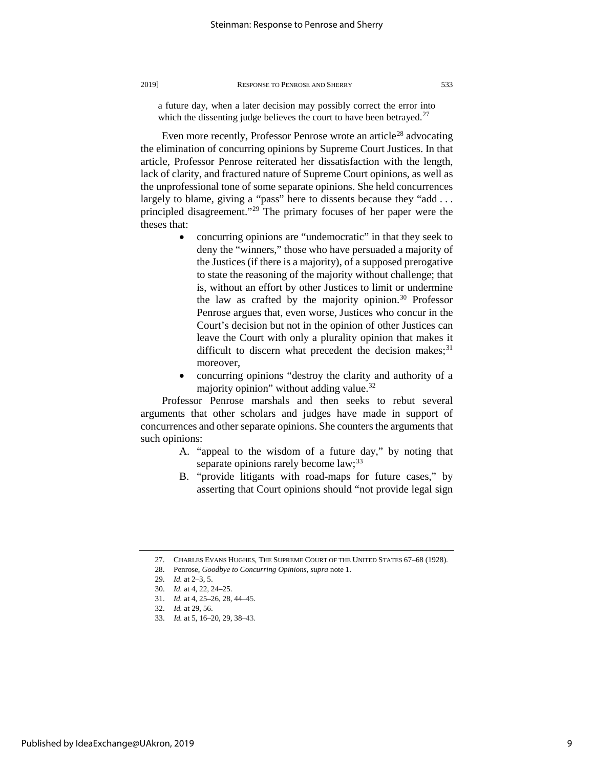a future day, when a later decision may possibly correct the error into which the dissenting judge believes the court to have been betrayed. $27$ 

Even more recently, Professor Penrose wrote an article<sup>[28](#page-9-1)</sup> advocating the elimination of concurring opinions by Supreme Court Justices. In that article, Professor Penrose reiterated her dissatisfaction with the length, lack of clarity, and fractured nature of Supreme Court opinions, as well as the unprofessional tone of some separate opinions. She held concurrences largely to blame, giving a "pass" here to dissents because they "add ... principled disagreement.["29](#page-9-2) The primary focuses of her paper were the theses that:

- concurring opinions are "undemocratic" in that they seek to deny the "winners," those who have persuaded a majority of the Justices (if there is a majority), of a supposed prerogative to state the reasoning of the majority without challenge; that is, without an effort by other Justices to limit or undermine the law as crafted by the majority opinion. $30$  Professor Penrose argues that, even worse, Justices who concur in the Court's decision but not in the opinion of other Justices can leave the Court with only a plurality opinion that makes it difficult to discern what precedent the decision makes; $31$ moreover,
- concurring opinions "destroy the clarity and authority of a majority opinion" without adding value.[32](#page-9-5)

Professor Penrose marshals and then seeks to rebut several arguments that other scholars and judges have made in support of concurrences and other separate opinions. She counters the arguments that such opinions:

- A. "appeal to the wisdom of a future day," by noting that separate opinions rarely become law;<sup>[33](#page-9-6)</sup>
- B. "provide litigants with road-maps for future cases," by asserting that Court opinions should "not provide legal sign

<sup>27.</sup> CHARLES EVANS HUGHES, THE SUPREME COURT OF THE UNITED STATES 67–68 (1928).

<span id="page-9-2"></span><span id="page-9-1"></span><span id="page-9-0"></span><sup>28.</sup> Penrose, *Goodbye to Concurring Opinions*, *supra* note 1.

<sup>29.</sup> *Id.* at 2–3, 5.

<span id="page-9-3"></span><sup>30.</sup> *Id.* at 4, 22, 24–25.

<sup>31.</sup> *Id.* at 4, 25–26, 28, 44–45.

<span id="page-9-6"></span><span id="page-9-5"></span><span id="page-9-4"></span><sup>32.</sup> *Id.* at 29, 56.

<sup>33.</sup> *Id.* at 5, 16–20, 29, 38–43.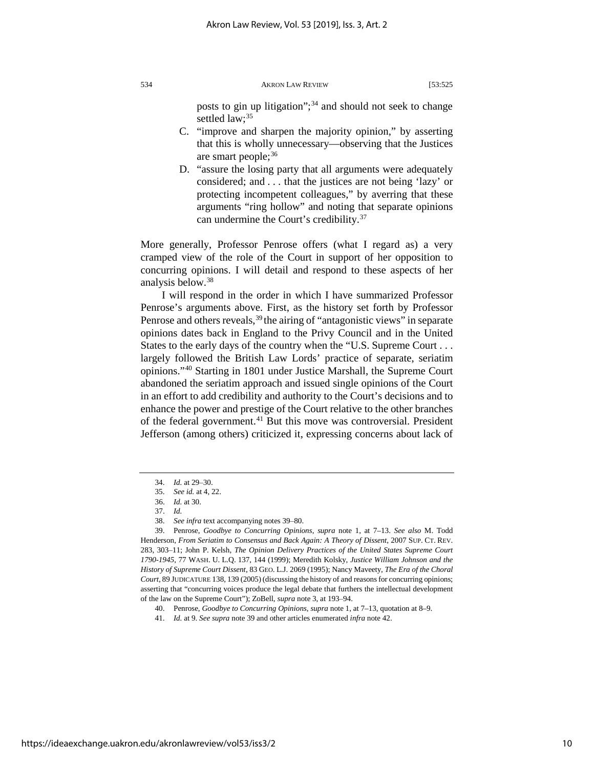posts to gin up litigation";<sup>[34](#page-10-0)</sup> and should not seek to change settled law:<sup>[35](#page-10-1)</sup>

- C. "improve and sharpen the majority opinion," by asserting that this is wholly unnecessary—observing that the Justices are smart people;  $36$
- D. "assure the losing party that all arguments were adequately considered; and . . . that the justices are not being 'lazy' or protecting incompetent colleagues," by averring that these arguments "ring hollow" and noting that separate opinions can undermine the Court's credibility.[37](#page-10-3)

More generally, Professor Penrose offers (what I regard as) a very cramped view of the role of the Court in support of her opposition to concurring opinions. I will detail and respond to these aspects of her analysis below.[38](#page-10-4)

I will respond in the order in which I have summarized Professor Penrose's arguments above. First, as the history set forth by Professor Penrose and others reveals,  $39$  the airing of "antagonistic views" in separate opinions dates back in England to the Privy Council and in the United States to the early days of the country when the "U.S. Supreme Court . . . largely followed the British Law Lords' practice of separate, seriatim opinions."[40](#page-10-6) Starting in 1801 under Justice Marshall, the Supreme Court abandoned the seriatim approach and issued single opinions of the Court in an effort to add credibility and authority to the Court's decisions and to enhance the power and prestige of the Court relative to the other branches of the federal government.<sup>[41](#page-10-7)</sup> But this move was controversial. President Jefferson (among others) criticized it, expressing concerns about lack of

<sup>34.</sup> *Id.* at 29–30.

<sup>35.</sup> *See id.* at 4, 22.

<sup>36.</sup> *Id.* at 30.

<sup>37.</sup> *Id.*

<sup>38.</sup> *See infra* text accompanying notes 39–80.

<span id="page-10-5"></span><span id="page-10-4"></span><span id="page-10-3"></span><span id="page-10-2"></span><span id="page-10-1"></span><span id="page-10-0"></span><sup>39.</sup> Penrose, *Goodbye to Concurring Opinions*, *supra* note 1, at 7–13. *See also* M. Todd Henderson, *From Seriatim to Consensus and Back Again: A Theory of Dissent*, 2007 SUP. CT. REV. 283, 303–11; John P. Kelsh, *The Opinion Delivery Practices of the United States Supreme Court 1790-1945*, 77 WASH. U. L.Q. 137, 144 (1999); Meredith Kolsky, *Justice William Johnson and the History of Supreme Court Dissent*, 83 GEO. L.J. 2069 (1995); Nancy Maveety, *The Era of the Choral Court*, 89 JUDICATURE 138, 139 (2005) (discussing the history of and reasons for concurring opinions; asserting that "concurring voices produce the legal debate that furthers the intellectual development of the law on the Supreme Court"); ZoBell, *supra* note 3, at 193–94.

<span id="page-10-6"></span><sup>40.</sup> Penrose, *Goodbye to Concurring Opinions*, *supra* note 1, at 7–13, quotation at 8–9.

<span id="page-10-7"></span><sup>41.</sup> *Id.* at 9. *See supra* note 39 and other articles enumerated *infra* note 42.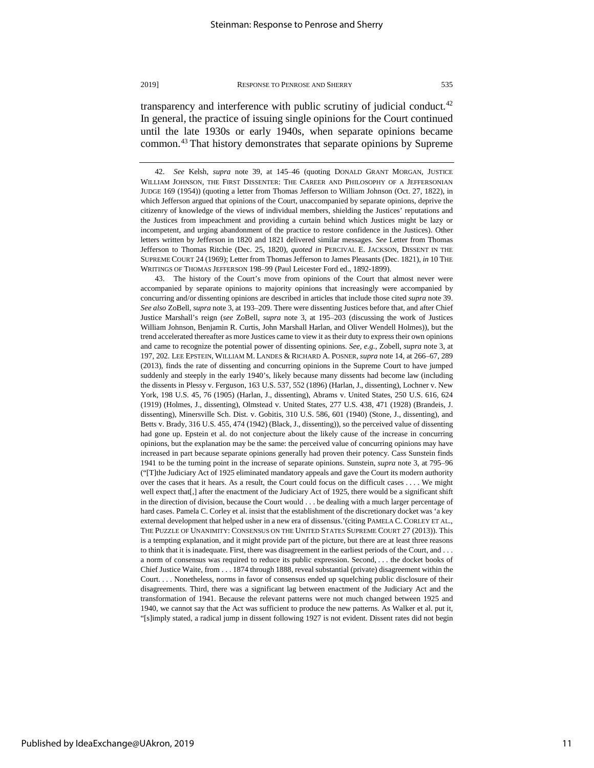transparency and interference with public scrutiny of judicial conduct.<sup>[42](#page-11-0)</sup> In general, the practice of issuing single opinions for the Court continued until the late 1930s or early 1940s, when separate opinions became common.[43](#page-11-1) That history demonstrates that separate opinions by Supreme

<span id="page-11-1"></span>43. The history of the Court's move from opinions of the Court that almost never were accompanied by separate opinions to majority opinions that increasingly were accompanied by concurring and/or dissenting opinions are described in articles that include those cited *supra* note 39. *See also* ZoBell, *supra* note 3, at 193–209. There were dissenting Justices before that, and after Chief Justice Marshall's reign (*see* ZoBell, *supra* note 3, at 195–203 (discussing the work of Justices William Johnson, Benjamin R. Curtis, John Marshall Harlan, and Oliver Wendell Holmes)), but the trend accelerated thereafter as more Justices came to view it as their duty to express their own opinions and came to recognize the potential power of dissenting opinions. *See, e.g.*, Zobell, *supra* note 3, at 197, 202. LEE EPSTEIN, WILLIAM M. LANDES & RICHARD A. POSNER, *supra* note 14, at 266–67, 289 (2013), finds the rate of dissenting and concurring opinions in the Supreme Court to have jumped suddenly and steeply in the early 1940's, likely because many dissents had become law (including the dissents in Plessy v. Ferguson, 163 U.S. 537, 552 (1896) (Harlan, J., dissenting), Lochner v. New York, 198 U.S. 45, 76 (1905) (Harlan, J., dissenting), Abrams v. United States, 250 U.S. 616, 624 (1919) (Holmes, J., dissenting), Olmstead v. United States, 277 U.S. 438, 471 (1928) (Brandeis, J. dissenting), Minersville Sch. Dist. v. Gobitis, 310 U.S. 586, 601 (1940) (Stone, J., dissenting), and Betts v. Brady, 316 U.S. 455, 474 (1942) (Black, J., dissenting)), so the perceived value of dissenting had gone up. Epstein et al. do not conjecture about the likely cause of the increase in concurring opinions, but the explanation may be the same: the perceived value of concurring opinions may have increased in part because separate opinions generally had proven their potency. Cass Sunstein finds 1941 to be the turning point in the increase of separate opinions. Sunstein, *supra* note 3, at 795–96 ("[T]the Judiciary Act of 1925 eliminated mandatory appeals and gave the Court its modern authority over the cases that it hears. As a result, the Court could focus on the difficult cases . . . . We might well expect that[,] after the enactment of the Judiciary Act of 1925, there would be a significant shift in the direction of division, because the Court would . . . be dealing with a much larger percentage of hard cases. Pamela C. Corley et al. insist that the establishment of the discretionary docket was 'a key external development that helped usher in a new era of dissensus.'(citing PAMELA C. CORLEY ET AL., THE PUZZLE OF UNANIMITY: CONSENSUS ON THE UNITED STATES SUPREME COURT 27 (2013)). This is a tempting explanation, and it might provide part of the picture, but there are at least three reasons to think that it is inadequate. First, there was disagreement in the earliest periods of the Court, and . . . a norm of consensus was required to reduce its public expression. Second, . . . the docket books of Chief Justice Waite, from . . . 1874 through 1888, reveal substantial (private) disagreement within the Court. . . . Nonetheless, norms in favor of consensus ended up squelching public disclosure of their disagreements. Third, there was a significant lag between enactment of the Judiciary Act and the transformation of 1941. Because the relevant patterns were not much changed between 1925 and 1940, we cannot say that the Act was sufficient to produce the new patterns. As Walker et al. put it, "[s]imply stated, a radical jump in dissent following 1927 is not evident. Dissent rates did not begin

<span id="page-11-0"></span><sup>42.</sup> *See* Kelsh, *supra* note 39, at 145–46 (quoting DONALD GRANT MORGAN, JUSTICE WILLIAM JOHNSON, THE FIRST DISSENTER: THE CAREER AND PHILOSOPHY OF A JEFFERSONIAN JUDGE 169 (1954)) (quoting a letter from Thomas Jefferson to William Johnson (Oct. 27, 1822), in which Jefferson argued that opinions of the Court, unaccompanied by separate opinions, deprive the citizenry of knowledge of the views of individual members, shielding the Justices' reputations and the Justices from impeachment and providing a curtain behind which Justices might be lazy or incompetent, and urging abandonment of the practice to restore confidence in the Justices). Other letters written by Jefferson in 1820 and 1821 delivered similar messages. *See* Letter from Thomas Jefferson to Thomas Ritchie (Dec. 25, 1820), *quoted in* PERCIVAL E. JACKSON, DISSENT IN THE SUPREME COURT 24 (1969); Letter from Thomas Jefferson to James Pleasants (Dec. 1821), *in* 10 THE WRITINGS OF THOMAS JEFFERSON 198–99 (Paul Leicester Ford ed., 1892-1899).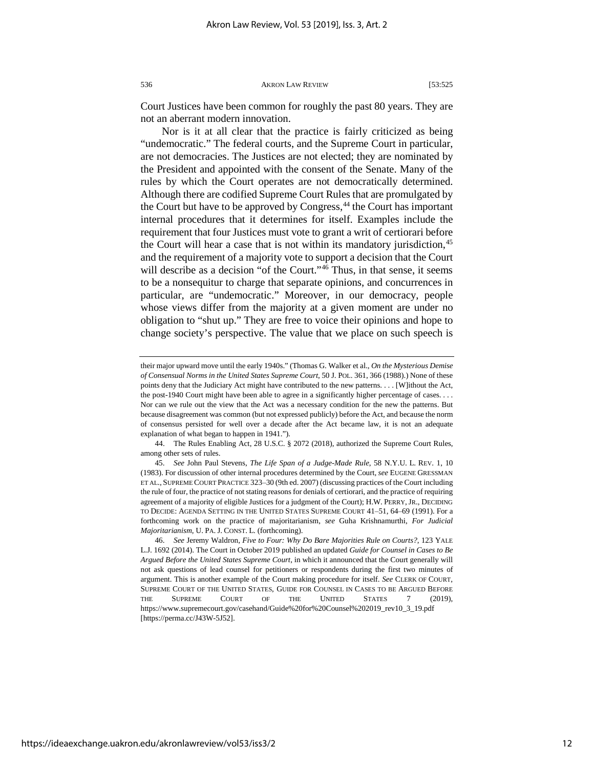Court Justices have been common for roughly the past 80 years. They are not an aberrant modern innovation.

Nor is it at all clear that the practice is fairly criticized as being "undemocratic." The federal courts, and the Supreme Court in particular, are not democracies. The Justices are not elected; they are nominated by the President and appointed with the consent of the Senate. Many of the rules by which the Court operates are not democratically determined. Although there are codified Supreme Court Rules that are promulgated by the Court but have to be approved by Congress,<sup>[44](#page-12-0)</sup> the Court has important internal procedures that it determines for itself. Examples include the requirement that four Justices must vote to grant a writ of certiorari before the Court will hear a case that is not within its mandatory jurisdiction,<sup>[45](#page-12-1)</sup> and the requirement of a majority vote to support a decision that the Court will describe as a decision "of the Court."<sup>[46](#page-12-2)</sup> Thus, in that sense, it seems to be a nonsequitur to charge that separate opinions, and concurrences in particular, are "undemocratic." Moreover, in our democracy, people whose views differ from the majority at a given moment are under no obligation to "shut up." They are free to voice their opinions and hope to change society's perspective. The value that we place on such speech is

their major upward move until the early 1940s." (Thomas G. Walker et al., *On the Mysterious Demise of Consensual Norms in the United States Supreme Court*, 50 J. POL. 361, 366 (1988).) None of these points deny that the Judiciary Act might have contributed to the new patterns. . . . [W]ithout the Act, the post-1940 Court might have been able to agree in a significantly higher percentage of cases. . . . Nor can we rule out the view that the Act was a necessary condition for the new the patterns. But because disagreement was common (but not expressed publicly) before the Act, and because the norm of consensus persisted for well over a decade after the Act became law, it is not an adequate explanation of what began to happen in 1941.").

<span id="page-12-0"></span><sup>44.</sup> The Rules Enabling Act, 28 U.S.C. § 2072 (2018), authorized the Supreme Court Rules, among other sets of rules.

<span id="page-12-1"></span><sup>45.</sup> *See* John Paul Stevens, *The Life Span of a Judge-Made Rule*, 58 N.Y.U. L. REV. 1, 10 (1983). For discussion of other internal procedures determined by the Court, *see* EUGENE GRESSMAN ET AL., SUPREME COURT PRACTICE 323–30 (9th ed. 2007) (discussing practices of the Court including the rule of four, the practice of not stating reasons for denials of certiorari, and the practice of requiring agreement of a majority of eligible Justices for a judgment of the Court); H.W. PERRY, JR., DECIDING TO DECIDE: AGENDA SETTING IN THE UNITED STATES SUPREME COURT 41–51, 64–69 (1991). For a forthcoming work on the practice of majoritarianism, *see* Guha Krishnamurthi, *For Judicial Majoritarianism*, U. PA. J. CONST. L. (forthcoming).

<span id="page-12-2"></span><sup>46.</sup> *See* Jeremy Waldron, *Five to Four: Why Do Bare Majorities Rule on Courts?*, 123 YALE L.J. 1692 (2014). The Court in October 2019 published an updated *Guide for Counsel in Cases to Be Argued Before the United States Supreme Court*, in which it announced that the Court generally will not ask questions of lead counsel for petitioners or respondents during the first two minutes of argument. This is another example of the Court making procedure for itself. *See* CLERK OF COURT, SUPREME COURT OF THE UNITED STATES, GUIDE FOR COUNSEL IN CASES TO BE ARGUED BEFORE THE SUPREME COURT OF THE UNITED STATES 7 (2019), https://www.supremecourt.gov/casehand/Guide%20for%20Counsel%202019\_rev10\_3\_19.pdf [https://perma.cc/J43W-5J52].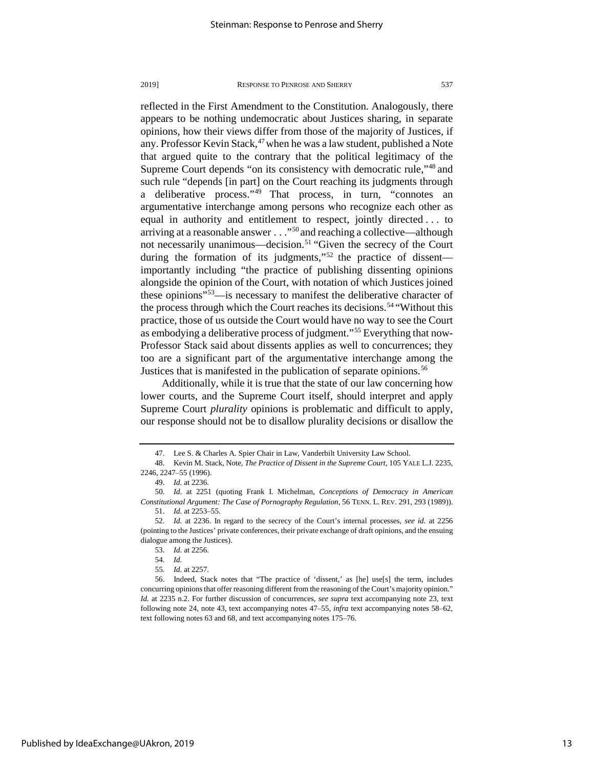reflected in the First Amendment to the Constitution. Analogously, there appears to be nothing undemocratic about Justices sharing, in separate opinions, how their views differ from those of the majority of Justices, if any. Professor Kevin Stack,<sup>[47](#page-13-0)</sup> when he was a law student, published a Note that argued quite to the contrary that the political legitimacy of the Supreme Court depends "on its consistency with democratic rule,"<sup>[48](#page-13-1)</sup> and such rule "depends [in part] on the Court reaching its judgments through a deliberative process."[49](#page-13-2) That process, in turn, "connotes an argumentative interchange among persons who recognize each other as equal in authority and entitlement to respect, jointly directed . . . to arriving at a reasonable answer . . ."[50](#page-13-3) and reaching a collective—although not necessarily unanimous—decision.<sup>[51](#page-13-4)</sup> "Given the secrecy of the Court during the formation of its judgments,"<sup>[52](#page-13-5)</sup> the practice of dissent importantly including "the practice of publishing dissenting opinions alongside the opinion of the Court, with notation of which Justices joined these opinions"[53](#page-13-6)—is necessary to manifest the deliberative character of the process through which the Court reaches its decisions.<sup>[54](#page-13-7)</sup> "Without this practice, those of us outside the Court would have no way to see the Court as embodying a deliberative process of judgment."[55](#page-13-8) Everything that now-Professor Stack said about dissents applies as well to concurrences; they too are a significant part of the argumentative interchange among the Justices that is manifested in the publication of separate opinions.<sup>[56](#page-13-9)</sup>

Additionally, while it is true that the state of our law concerning how lower courts, and the Supreme Court itself, should interpret and apply Supreme Court *plurality* opinions is problematic and difficult to apply, our response should not be to disallow plurality decisions or disallow the

<sup>47.</sup> Lee S. & Charles A. Spier Chair in Law, Vanderbilt University Law School.

<span id="page-13-1"></span><span id="page-13-0"></span><sup>48.</sup> Kevin M. Stack, Note, *The Practice of Dissent in the Supreme Court*, 105 YALE L.J. 2235, 2246, 2247–55 (1996).

<sup>49.</sup> *Id.* at 2236.

<span id="page-13-3"></span><span id="page-13-2"></span><sup>50.</sup> *Id.* at 2251 (quoting Frank I. Michelman, *Conceptions of Democracy in American Constitutional Argument: The Case of Pornography Regulation*, 56 TENN. L. REV. 291, 293 (1989)).

<sup>51.</sup> *Id.* at 2253–55.

<span id="page-13-6"></span><span id="page-13-5"></span><span id="page-13-4"></span><sup>52.</sup> *Id.* at 2236. In regard to the secrecy of the Court's internal processes, *see id.* at 2256 (pointing to the Justices' private conferences, their private exchange of draft opinions, and the ensuing dialogue among the Justices).

<sup>53.</sup> *Id.* at 2256.

<sup>54.</sup> *Id.*

<sup>55</sup>*. Id.* at 2257.

<span id="page-13-9"></span><span id="page-13-8"></span><span id="page-13-7"></span><sup>56.</sup> Indeed, Stack notes that "The practice of 'dissent,' as [he] use[s] the term, includes concurring opinions that offer reasoning different from the reasoning of the Court's majority opinion." *Id.* at 2235 n.2. For further discussion of concurrences, *see supra* text accompanying note 23, text following note 24, note 43, text accompanying notes 47–55, *infra* text accompanying notes 58–62, text following notes 63 and 68, and text accompanying notes 175–76.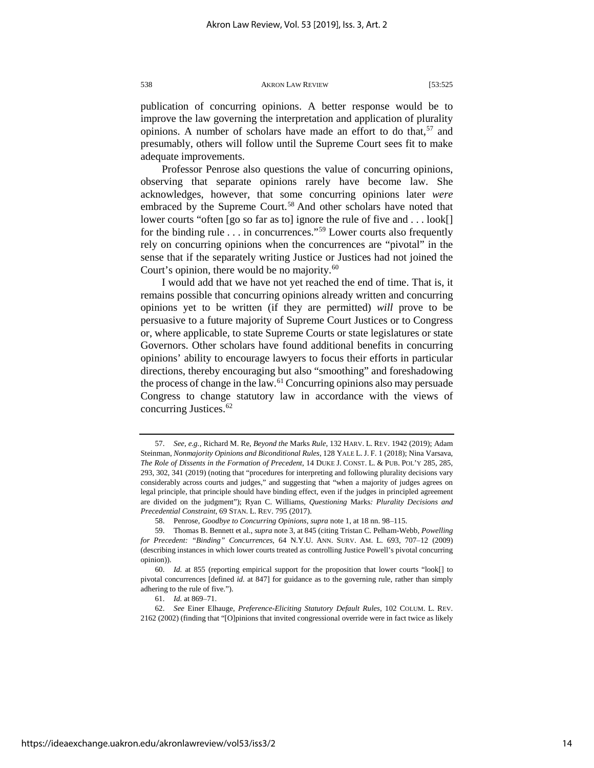publication of concurring opinions. A better response would be to improve the law governing the interpretation and application of plurality opinions. A number of scholars have made an effort to do that,  $57$  and presumably, others will follow until the Supreme Court sees fit to make adequate improvements.

Professor Penrose also questions the value of concurring opinions, observing that separate opinions rarely have become law. She acknowledges, however, that some concurring opinions later *were* embraced by the Supreme Court.<sup>[58](#page-14-1)</sup> And other scholars have noted that lower courts "often [go so far as to] ignore the rule of five and . . . look[] for the binding rule  $\dots$  in concurrences."<sup>[59](#page-14-2)</sup> Lower courts also frequently rely on concurring opinions when the concurrences are "pivotal" in the sense that if the separately writing Justice or Justices had not joined the Court's opinion, there would be no majority. $60$ 

I would add that we have not yet reached the end of time. That is, it remains possible that concurring opinions already written and concurring opinions yet to be written (if they are permitted) *will* prove to be persuasive to a future majority of Supreme Court Justices or to Congress or, where applicable, to state Supreme Courts or state legislatures or state Governors. Other scholars have found additional benefits in concurring opinions' ability to encourage lawyers to focus their efforts in particular directions, thereby encouraging but also "smoothing" and foreshadowing the process of change in the law.[61](#page-14-4) Concurring opinions also may persuade Congress to change statutory law in accordance with the views of concurring Justices.<sup>[62](#page-14-5)</sup>

<span id="page-14-0"></span><sup>57.</sup> *See, e.g.*, Richard M. Re, *Beyond the* Marks *Rule*, 132 HARV. L. REV. 1942 (2019); Adam Steinman, *Nonmajority Opinions and Biconditional Rules*, 128 YALE L. J. F. 1 (2018); Nina Varsava, *The Role of Dissents in the Formation of Precedent*, 14 DUKE J. CONST. L. & PUB. POL'Y 285, 285, 293, 302, 341 (2019) (noting that "procedures for interpreting and following plurality decisions vary considerably across courts and judges," and suggesting that "when a majority of judges agrees on legal principle, that principle should have binding effect, even if the judges in principled agreement are divided on the judgment"); Ryan C. Williams, *Questioning* Marks*: Plurality Decisions and Precedential Constraint*, 69 STAN. L. REV. 795 (2017).

<sup>58.</sup> Penrose, *Goodbye to Concurring Opinions*, *supra* note 1, at 18 nn. 98–115.

<span id="page-14-2"></span><span id="page-14-1"></span><sup>59.</sup> Thomas B. Bennett et al., *supra* note 3, at 845 (citing Tristan C. Pelham-Webb, *Powelling for Precedent: "Binding" Concurrences*, 64 N.Y.U. ANN. SURV. AM. L. 693, 707–12 (2009) (describing instances in which lower courts treated as controlling Justice Powell's pivotal concurring opinion)).

<span id="page-14-3"></span><sup>60.</sup> *Id.* at 855 (reporting empirical support for the proposition that lower courts "look[] to pivotal concurrences [defined *id.* at 847] for guidance as to the governing rule, rather than simply adhering to the rule of five.").

<sup>61.</sup> *Id.* at 869–71.

<span id="page-14-5"></span><span id="page-14-4"></span><sup>62.</sup> *See* Einer Elhauge, *Preference-Eliciting Statutory Default Rules*, 102 COLUM. L. REV. 2162 (2002) (finding that "[O]pinions that invited congressional override were in fact twice as likely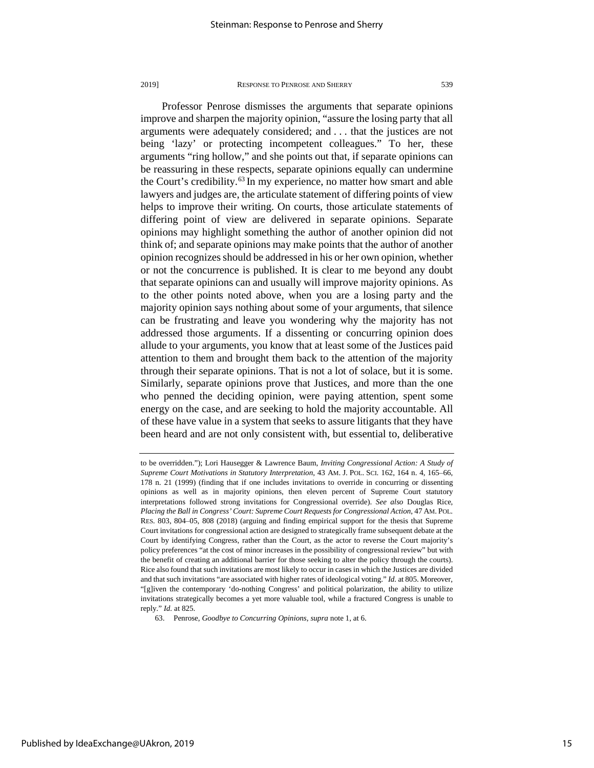Professor Penrose dismisses the arguments that separate opinions improve and sharpen the majority opinion, "assure the losing party that all arguments were adequately considered; and . . . that the justices are not being 'lazy' or protecting incompetent colleagues." To her, these arguments "ring hollow," and she points out that, if separate opinions can be reassuring in these respects, separate opinions equally can undermine the Court's credibility.<sup>[63](#page-15-0)</sup> In my experience, no matter how smart and able lawyers and judges are, the articulate statement of differing points of view helps to improve their writing. On courts, those articulate statements of differing point of view are delivered in separate opinions. Separate opinions may highlight something the author of another opinion did not think of; and separate opinions may make points that the author of another opinion recognizes should be addressed in his or her own opinion, whether or not the concurrence is published. It is clear to me beyond any doubt that separate opinions can and usually will improve majority opinions. As to the other points noted above, when you are a losing party and the majority opinion says nothing about some of your arguments, that silence can be frustrating and leave you wondering why the majority has not addressed those arguments. If a dissenting or concurring opinion does allude to your arguments, you know that at least some of the Justices paid attention to them and brought them back to the attention of the majority through their separate opinions. That is not a lot of solace, but it is some. Similarly, separate opinions prove that Justices, and more than the one who penned the deciding opinion, were paying attention, spent some energy on the case, and are seeking to hold the majority accountable. All of these have value in a system that seeks to assure litigants that they have been heard and are not only consistent with, but essential to, deliberative

to be overridden."); Lori Hausegger & Lawrence Baum, *Inviting Congressional Action: A Study of Supreme Court Motivations in Statutory Interpretation*, 43 AM. J. POL. SCI. 162, 164 n. 4, 165–66, 178 n. 21 (1999) (finding that if one includes invitations to override in concurring or dissenting opinions as well as in majority opinions, then eleven percent of Supreme Court statutory interpretations followed strong invitations for Congressional override). *See also* Douglas Rice, *Placing the Ball in Congress' Court: Supreme Court Requests for Congressional Action*, 47 AM. POL. RES. 803, 804–05, 808 (2018) (arguing and finding empirical support for the thesis that Supreme Court invitations for congressional action are designed to strategically frame subsequent debate at the Court by identifying Congress, rather than the Court, as the actor to reverse the Court majority's policy preferences "at the cost of minor increases in the possibility of congressional review" but with the benefit of creating an additional barrier for those seeking to alter the policy through the courts). Rice also found that such invitations are most likely to occur in cases in which the Justices are divided and that such invitations "are associated with higher rates of ideological voting." *Id.* at 805. Moreover, "[g]iven the contemporary 'do-nothing Congress' and political polarization, the ability to utilize invitations strategically becomes a yet more valuable tool, while a fractured Congress is unable to reply." *Id.* at 825.

<span id="page-15-0"></span><sup>63.</sup> Penrose, *Goodbye to Concurring Opinions*, *supra* note 1, at 6.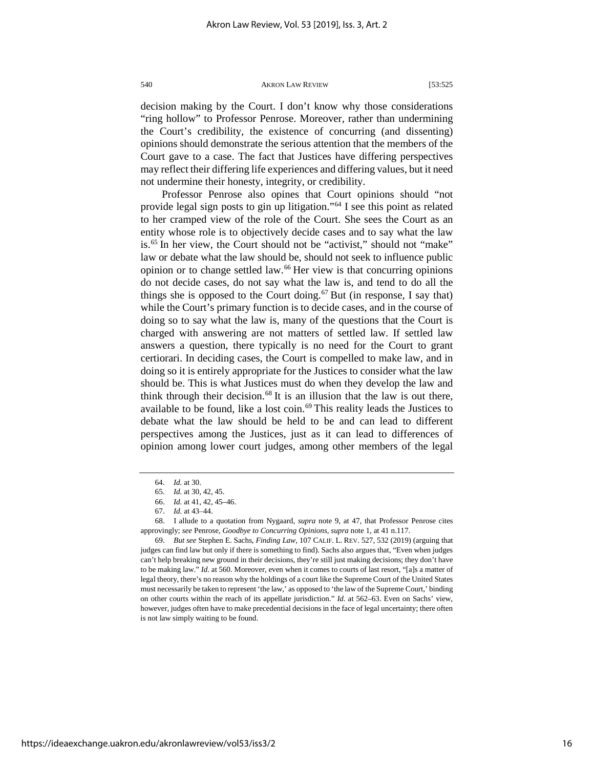decision making by the Court. I don't know why those considerations "ring hollow" to Professor Penrose. Moreover, rather than undermining the Court's credibility, the existence of concurring (and dissenting) opinions should demonstrate the serious attention that the members of the Court gave to a case. The fact that Justices have differing perspectives may reflect their differing life experiences and differing values, but it need not undermine their honesty, integrity, or credibility.

Professor Penrose also opines that Court opinions should "not provide legal sign posts to gin up litigation."[64](#page-16-0) I see this point as related to her cramped view of the role of the Court. She sees the Court as an entity whose role is to objectively decide cases and to say what the law is.<sup>[65](#page-16-1)</sup> In her view, the Court should not be "activist," should not "make" law or debate what the law should be, should not seek to influence public opinion or to change settled law.[66](#page-16-2) Her view is that concurring opinions do not decide cases, do not say what the law is, and tend to do all the things she is opposed to the Court doing.<sup>[67](#page-16-3)</sup> But (in response, I say that) while the Court's primary function is to decide cases, and in the course of doing so to say what the law is, many of the questions that the Court is charged with answering are not matters of settled law. If settled law answers a question, there typically is no need for the Court to grant certiorari. In deciding cases, the Court is compelled to make law, and in doing so it is entirely appropriate for the Justices to consider what the law should be. This is what Justices must do when they develop the law and think through their decision.<sup>[68](#page-16-4)</sup> It is an illusion that the law is out there, available to be found, like a lost coin.<sup>[69](#page-16-5)</sup> This reality leads the Justices to debate what the law should be held to be and can lead to different perspectives among the Justices, just as it can lead to differences of opinion among lower court judges, among other members of the legal

<sup>64.</sup> *Id.* at 30.

<sup>65.</sup> *Id.* at 30, 42, 45.

<sup>66.</sup> *Id.* at 41, 42, 45–46.

<sup>67.</sup> *Id.* at 43–44.

<span id="page-16-4"></span><span id="page-16-3"></span><span id="page-16-2"></span><span id="page-16-1"></span><span id="page-16-0"></span><sup>68.</sup> I allude to a quotation from Nygaard, *supra* note 9, at 47, that Professor Penrose cites approvingly; *see* Penrose, *Goodbye to Concurring Opinions*, *supra* note 1, at 41 n.117.

<span id="page-16-5"></span><sup>69.</sup> *But see* Stephen E. Sachs, *Finding Law*, 107 CALIF. L. REV. 527, 532 (2019) (arguing that judges can find law but only if there is something to find). Sachs also argues that, "Even when judges can't help breaking new ground in their decisions, they're still just making decisions; they don't have to be making law." *Id.* at 560. Moreover, even when it comes to courts of last resort, "[a]s a matter of legal theory, there's no reason why the holdings of a court like the Supreme Court of the United States must necessarily be taken to represent 'the law,' as opposed to 'the law of the Supreme Court,' binding on other courts within the reach of its appellate jurisdiction." *Id.* at 562–63. Even on Sachs' view, however, judges often have to make precedential decisions in the face of legal uncertainty; there often is not law simply waiting to be found.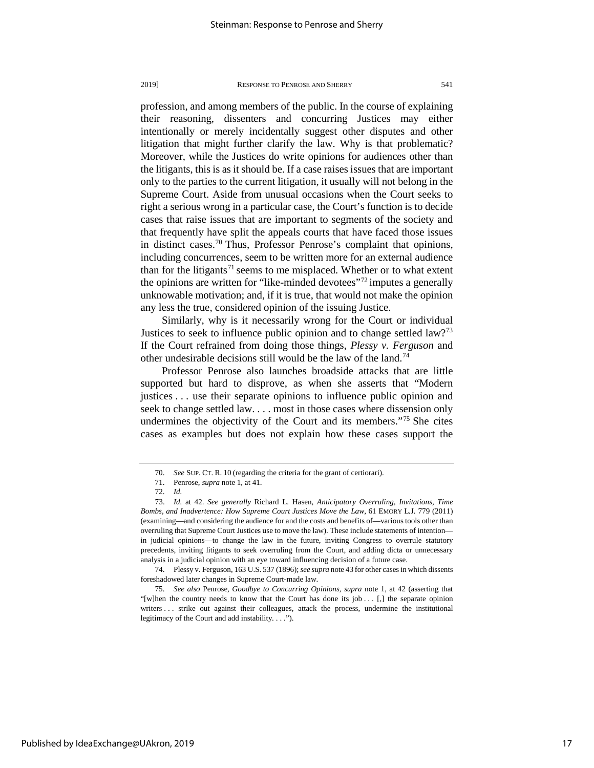profession, and among members of the public. In the course of explaining their reasoning, dissenters and concurring Justices may either intentionally or merely incidentally suggest other disputes and other litigation that might further clarify the law. Why is that problematic? Moreover, while the Justices do write opinions for audiences other than the litigants, this is as it should be. If a case raises issues that are important only to the parties to the current litigation, it usually will not belong in the Supreme Court. Aside from unusual occasions when the Court seeks to right a serious wrong in a particular case, the Court's function is to decide cases that raise issues that are important to segments of the society and that frequently have split the appeals courts that have faced those issues in distinct cases.<sup>[70](#page-17-0)</sup> Thus, Professor Penrose's complaint that opinions, including concurrences, seem to be written more for an external audience than for the litigants<sup>[71](#page-17-1)</sup> seems to me misplaced. Whether or to what extent

the opinions are written for "like-minded devotees"[72](#page-17-2) imputes a generally unknowable motivation; and, if it is true, that would not make the opinion any less the true, considered opinion of the issuing Justice.

Similarly, why is it necessarily wrong for the Court or individual Justices to seek to influence public opinion and to change settled law?<sup>[73](#page-17-3)</sup> If the Court refrained from doing those things, *Plessy v. Ferguson* and other undesirable decisions still would be the law of the land.[74](#page-17-4)

Professor Penrose also launches broadside attacks that are little supported but hard to disprove, as when she asserts that "Modern justices . . . use their separate opinions to influence public opinion and seek to change settled law. . . . most in those cases where dissension only undermines the objectivity of the Court and its members."[75](#page-17-5) She cites cases as examples but does not explain how these cases support the

<span id="page-17-4"></span>74. Plessy v. Ferguson, 163 U.S. 537 (1896); *see supra* note 43 for other cases in which dissents foreshadowed later changes in Supreme Court-made law.

<span id="page-17-5"></span>75. *See also* Penrose, *Goodbye to Concurring Opinions*, *supra* note 1, at 42 (asserting that "[w]hen the country needs to know that the Court has done its job  $\dots$  [,] the separate opinion writers . . . strike out against their colleagues, attack the process, undermine the institutional legitimacy of the Court and add instability. . . .").

<sup>70.</sup> *See* SUP. CT. R. 10 (regarding the criteria for the grant of certiorari).

<sup>71.</sup> Penrose, *supra* note 1, at 41.

<sup>72.</sup> *Id.*

<span id="page-17-3"></span><span id="page-17-2"></span><span id="page-17-1"></span><span id="page-17-0"></span><sup>73.</sup> *Id.* at 42. *See generally* Richard L. Hasen, *Anticipatory Overruling, Invitations, Time Bombs, and Inadvertence: How Supreme Court Justices Move the Law*, 61 EMORY L.J. 779 (2011) (examining—and considering the audience for and the costs and benefits of—various tools other than overruling that Supreme Court Justices use to move the law). These include statements of intention in judicial opinions—to change the law in the future, inviting Congress to overrule statutory precedents, inviting litigants to seek overruling from the Court, and adding dicta or unnecessary analysis in a judicial opinion with an eye toward influencing decision of a future case.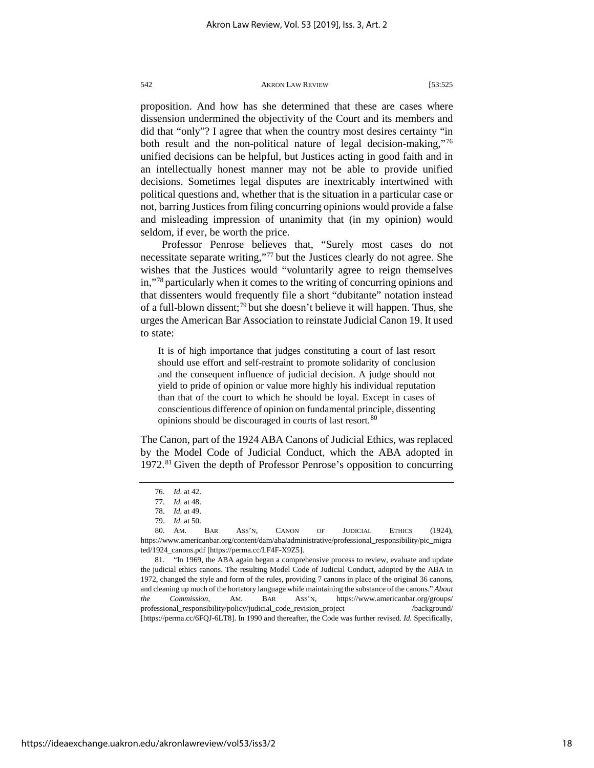proposition. And how has she determined that these are cases where dissension undermined the objectivity of the Court and its members and did that "only"? I agree that when the country most desires certainty "in both result and the non-political nature of legal decision-making,"[76](#page-18-0) unified decisions can be helpful, but Justices acting in good faith and in an intellectually honest manner may not be able to provide unified decisions. Sometimes legal disputes are inextricably intertwined with political questions and, whether that is the situation in a particular case or not, barring Justices from filing concurring opinions would provide a false and misleading impression of unanimity that (in my opinion) would seldom, if ever, be worth the price.

Professor Penrose believes that, "Surely most cases do not necessitate separate writing,"[77](#page-18-1) but the Justices clearly do not agree. She wishes that the Justices would "voluntarily agree to reign themselves in,"[78](#page-18-2) particularly when it comes to the writing of concurring opinions and that dissenters would frequently file a short "dubitante" notation instead of a full-blown dissent;<sup>[79](#page-18-3)</sup> but she doesn't believe it will happen. Thus, she urges the American Bar Association to reinstate Judicial Canon 19. It used to state:

It is of high importance that judges constituting a court of last resort should use effort and self-restraint to promote solidarity of conclusion and the consequent influence of judicial decision. A judge should not yield to pride of opinion or value more highly his individual reputation than that of the court to which he should be loyal. Except in cases of conscientious difference of opinion on fundamental principle, dissenting opinions should be discouraged in courts of last resort.<sup>[80](#page-18-4)</sup>

The Canon, part of the 1924 ABA Canons of Judicial Ethics, was replaced by the Model Code of Judicial Conduct, which the ABA adopted in 1972.[81](#page-18-5) Given the depth of Professor Penrose's opposition to concurring

<sup>76.</sup> *Id.* at 42.

<sup>77.</sup> *Id.* at 48.

<sup>78.</sup> *Id.* at 49.

<sup>79.</sup> *Id.* at 50.

<span id="page-18-4"></span><span id="page-18-3"></span><span id="page-18-2"></span><span id="page-18-1"></span><span id="page-18-0"></span><sup>80.</sup> AM. BAR ASS'N, CANON OF JUDICIAL ETHICS (1924), https://www.americanbar.org/content/dam/aba/administrative/professional\_responsibility/pic\_migra ted/1924\_canons.pdf [https://perma.cc/LF4F-X9Z5].

<span id="page-18-5"></span><sup>81. &</sup>quot;In 1969, the ABA again began a comprehensive process to review, evaluate and update the judicial ethics canons. The resulting Model Code of Judicial Conduct, adopted by the ABA in 1972, changed the style and form of the rules, providing 7 canons in place of the original 36 canons, and cleaning up much of the hortatory language while maintaining the substance of the canons." *About the Commission*, AM. BAR ASS'N, https://www.americanbar.org/groups/ professional\_responsibility/policy/judicial\_code\_revision\_project /background/ [https://perma.cc/6FQJ-6LT8]. In 1990 and thereafter, the Code was further revised. *Id.* Specifically,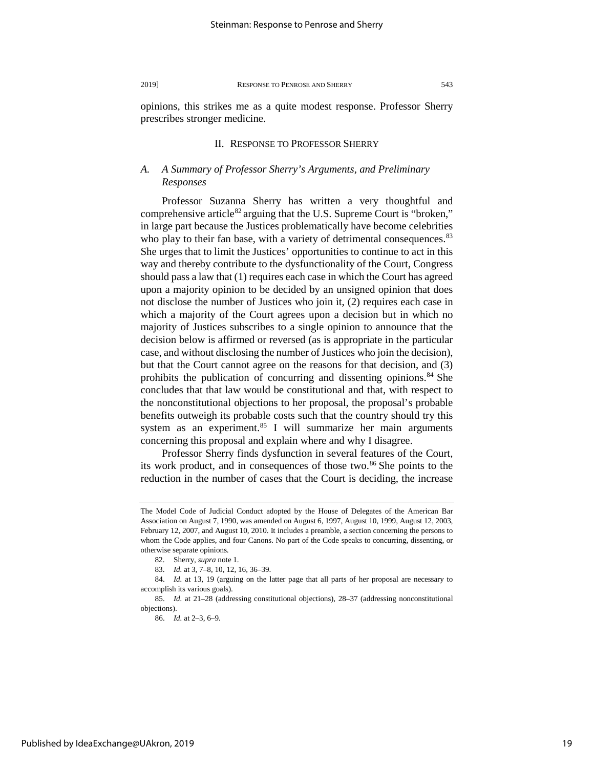opinions, this strikes me as a quite modest response. Professor Sherry prescribes stronger medicine.

# II. RESPONSE TO PROFESSOR SHERRY

# *A. A Summary of Professor Sherry's Arguments, and Preliminary Responses*

Professor Suzanna Sherry has written a very thoughtful and comprehensive article<sup>[82](#page-19-0)</sup> arguing that the U.S. Supreme Court is "broken," in large part because the Justices problematically have become celebrities who play to their fan base, with a variety of detrimental consequences.<sup>[83](#page-19-1)</sup> She urges that to limit the Justices' opportunities to continue to act in this way and thereby contribute to the dysfunctionality of the Court, Congress should pass a law that (1) requires each case in which the Court has agreed upon a majority opinion to be decided by an unsigned opinion that does not disclose the number of Justices who join it, (2) requires each case in which a majority of the Court agrees upon a decision but in which no majority of Justices subscribes to a single opinion to announce that the decision below is affirmed or reversed (as is appropriate in the particular case, and without disclosing the number of Justices who join the decision), but that the Court cannot agree on the reasons for that decision, and (3) prohibits the publication of concurring and dissenting opinions. $84$  She concludes that that law would be constitutional and that, with respect to the nonconstitutional objections to her proposal, the proposal's probable benefits outweigh its probable costs such that the country should try this system as an experiment. $85$  I will summarize her main arguments concerning this proposal and explain where and why I disagree.

Professor Sherry finds dysfunction in several features of the Court, its work product, and in consequences of those two.<sup>[86](#page-19-4)</sup> She points to the reduction in the number of cases that the Court is deciding, the increase

The Model Code of Judicial Conduct adopted by the House of Delegates of the American Bar Association on August 7, 1990, was amended on August 6, 1997, August 10, 1999, August 12, 2003, February 12, 2007, and August 10, 2010. It includes a preamble, a section concerning the persons to whom the Code applies, and four Canons. No part of the Code speaks to concurring, dissenting, or otherwise separate opinions.

<sup>82.</sup> Sherry, *supra* note 1.

<sup>83.</sup> *Id.* at 3, 7–8, 10, 12, 16, 36–39.

<span id="page-19-2"></span><span id="page-19-1"></span><span id="page-19-0"></span><sup>84.</sup> *Id.* at 13, 19 (arguing on the latter page that all parts of her proposal are necessary to accomplish its various goals).

<span id="page-19-4"></span><span id="page-19-3"></span><sup>85.</sup> *Id.* at 21–28 (addressing constitutional objections), 28–37 (addressing nonconstitutional objections).

<sup>86.</sup> *Id.* at 2–3, 6–9.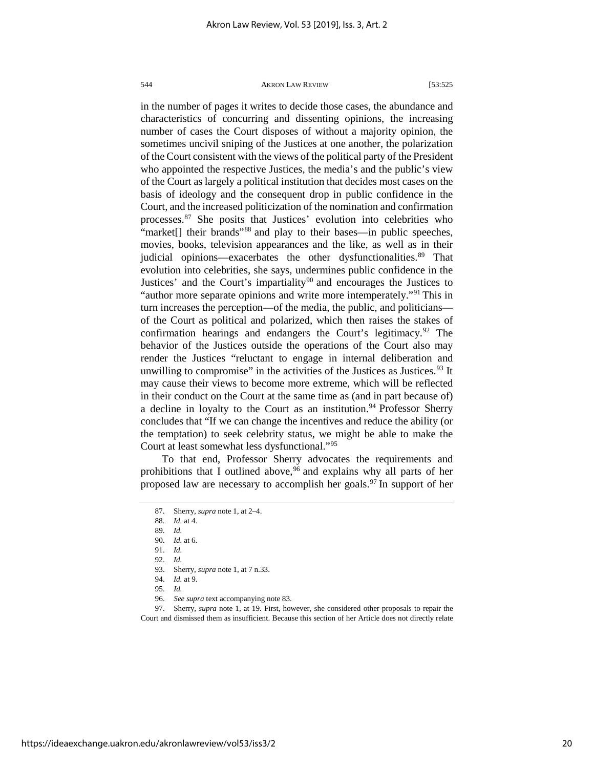in the number of pages it writes to decide those cases, the abundance and characteristics of concurring and dissenting opinions, the increasing number of cases the Court disposes of without a majority opinion, the sometimes uncivil sniping of the Justices at one another, the polarization of the Court consistent with the views of the political party of the President who appointed the respective Justices, the media's and the public's view of the Court as largely a political institution that decides most cases on the basis of ideology and the consequent drop in public confidence in the Court, and the increased politicization of the nomination and confirmation processes.[87](#page-20-0) She posits that Justices' evolution into celebrities who "market<sup>[]</sup> their brands"<sup>[88](#page-20-1)</sup> and play to their bases—in public speeches, movies, books, television appearances and the like, as well as in their judicial opinions—exacerbates the other dysfunctionalities.<sup>[89](#page-20-2)</sup> That evolution into celebrities, she says, undermines public confidence in the Justices' and the Court's impartiality<sup>[90](#page-20-3)</sup> and encourages the Justices to "author more separate opinions and write more intemperately."<sup>[91](#page-20-4)</sup> This in turn increases the perception—of the media, the public, and politicians of the Court as political and polarized, which then raises the stakes of confirmation hearings and endangers the Court's legitimacy.<sup>[92](#page-20-5)</sup> The behavior of the Justices outside the operations of the Court also may render the Justices "reluctant to engage in internal deliberation and unwilling to compromise" in the activities of the Justices as Justices.<sup>[93](#page-20-6)</sup> It may cause their views to become more extreme, which will be reflected in their conduct on the Court at the same time as (and in part because of) a decline in loyalty to the Court as an institution.<sup>[94](#page-20-7)</sup> Professor Sherry concludes that "If we can change the incentives and reduce the ability (or the temptation) to seek celebrity status, we might be able to make the Court at least somewhat less dysfunctional."[95](#page-20-8)

<span id="page-20-0"></span>To that end, Professor Sherry advocates the requirements and prohibitions that I outlined above,  $96$  and explains why all parts of her proposed law are necessary to accomplish her goals.<sup>[97](#page-20-10)</sup> In support of her

<span id="page-20-3"></span><span id="page-20-2"></span><span id="page-20-1"></span>90*. Id.* at 6.

<span id="page-20-10"></span><span id="page-20-9"></span><span id="page-20-8"></span><span id="page-20-7"></span><span id="page-20-6"></span><span id="page-20-5"></span><span id="page-20-4"></span>97. Sherry, *supra* note 1, at 19. First, however, she considered other proposals to repair the Court and dismissed them as insufficient. Because this section of her Article does not directly relate

<sup>87.</sup> Sherry, *supra* note 1, at 2–4.

<sup>88.</sup> *Id.* at 4.

<sup>89.</sup> *Id.*

<sup>91.</sup> *Id.*

<sup>92.</sup> *Id.*

<sup>93.</sup> Sherry, *supra* note 1, at 7 n.33.

<sup>94.</sup> *Id.* at 9.

<sup>95.</sup> *Id.*

<sup>96.</sup> *See supra* text accompanying note 83.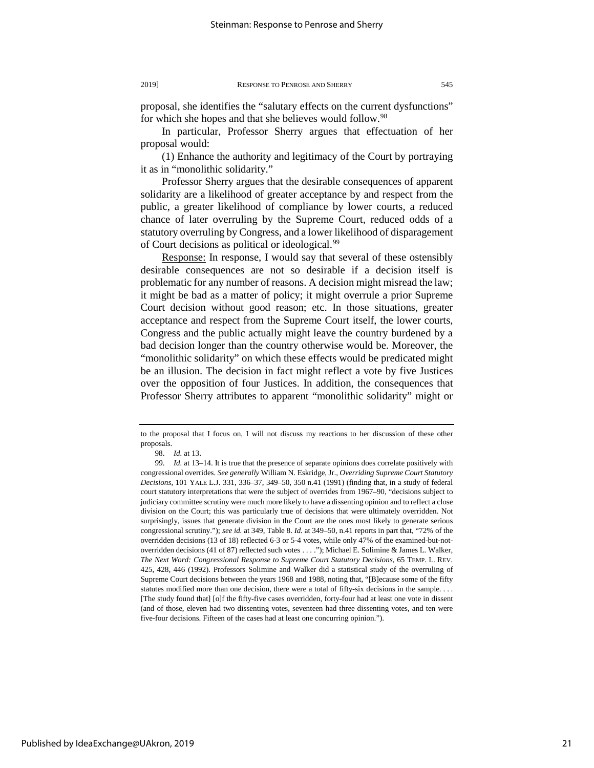proposal, she identifies the "salutary effects on the current dysfunctions" for which she hopes and that she believes would follow.<sup>[98](#page-21-0)</sup>

In particular, Professor Sherry argues that effectuation of her proposal would:

(1) Enhance the authority and legitimacy of the Court by portraying it as in "monolithic solidarity."

Professor Sherry argues that the desirable consequences of apparent solidarity are a likelihood of greater acceptance by and respect from the public, a greater likelihood of compliance by lower courts, a reduced chance of later overruling by the Supreme Court, reduced odds of a statutory overruling by Congress, and a lower likelihood of disparagement of Court decisions as political or ideological.[99](#page-21-1)

Response: In response, I would say that several of these ostensibly desirable consequences are not so desirable if a decision itself is problematic for any number of reasons. A decision might misread the law; it might be bad as a matter of policy; it might overrule a prior Supreme Court decision without good reason; etc. In those situations, greater acceptance and respect from the Supreme Court itself, the lower courts, Congress and the public actually might leave the country burdened by a bad decision longer than the country otherwise would be. Moreover, the "monolithic solidarity" on which these effects would be predicated might be an illusion. The decision in fact might reflect a vote by five Justices over the opposition of four Justices. In addition, the consequences that Professor Sherry attributes to apparent "monolithic solidarity" might or

to the proposal that I focus on, I will not discuss my reactions to her discussion of these other proposals.

<sup>98.</sup> *Id.* at 13.

<span id="page-21-1"></span><span id="page-21-0"></span><sup>99.</sup> *Id.* at 13–14. It is true that the presence of separate opinions does correlate positively with congressional overrides. *See generally* William N. Eskridge, Jr., *Overriding Supreme Court Statutory Decisions*, 101 YALE L.J. 331, 336–37, 349–50, 350 n.41 (1991) (finding that, in a study of federal court statutory interpretations that were the subject of overrides from 1967–90, "decisions subject to judiciary committee scrutiny were much more likely to have a dissenting opinion and to reflect a close division on the Court; this was particularly true of decisions that were ultimately overridden. Not surprisingly, issues that generate division in the Court are the ones most likely to generate serious congressional scrutiny."); *see id.* at 349, Table 8. *Id.* at 349–50, n.41 reports in part that, "72% of the overridden decisions (13 of 18) reflected 6-3 or 5-4 votes, while only 47% of the examined-but-notoverridden decisions (41 of 87) reflected such votes . . . ."); Michael E. Solimine & James L. Walker, *The Next Word: Congressional Response to Supreme Court Statutory Decisions*, 65 TEMP. L. REV. 425, 428, 446 (1992). Professors Solimine and Walker did a statistical study of the overruling of Supreme Court decisions between the years 1968 and 1988, noting that, "[B]ecause some of the fifty statutes modified more than one decision, there were a total of fifty-six decisions in the sample. . . . [The study found that] [o]f the fifty-five cases overridden, forty-four had at least one vote in dissent (and of those, eleven had two dissenting votes, seventeen had three dissenting votes, and ten were five-four decisions. Fifteen of the cases had at least one concurring opinion.").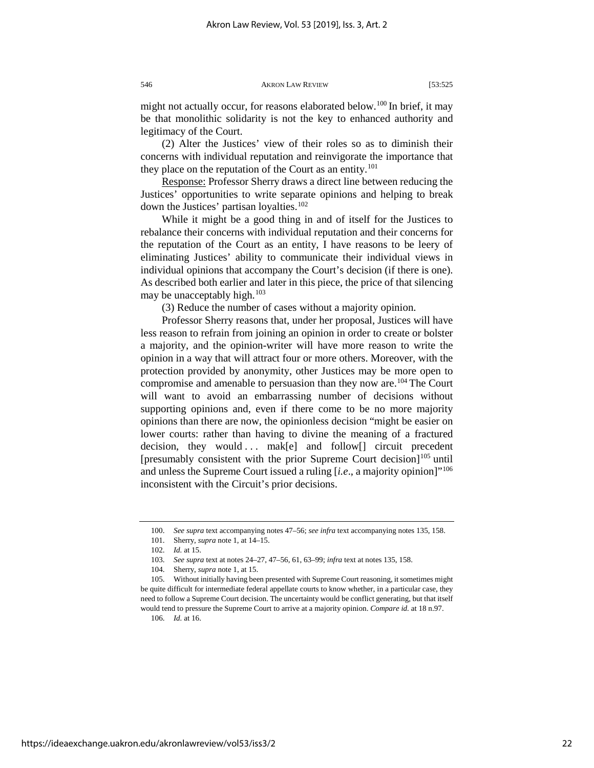might not actually occur, for reasons elaborated below.<sup>[100](#page-22-0)</sup> In brief, it may be that monolithic solidarity is not the key to enhanced authority and legitimacy of the Court.

(2) Alter the Justices' view of their roles so as to diminish their concerns with individual reputation and reinvigorate the importance that they place on the reputation of the Court as an entity.<sup>[101](#page-22-1)</sup>

Response: Professor Sherry draws a direct line between reducing the Justices' opportunities to write separate opinions and helping to break down the Justices' partisan loyalties.<sup>[102](#page-22-2)</sup>

While it might be a good thing in and of itself for the Justices to rebalance their concerns with individual reputation and their concerns for the reputation of the Court as an entity, I have reasons to be leery of eliminating Justices' ability to communicate their individual views in individual opinions that accompany the Court's decision (if there is one). As described both earlier and later in this piece, the price of that silencing may be unacceptably high.<sup>[103](#page-22-3)</sup>

(3) Reduce the number of cases without a majority opinion.

Professor Sherry reasons that, under her proposal, Justices will have less reason to refrain from joining an opinion in order to create or bolster a majority, and the opinion-writer will have more reason to write the opinion in a way that will attract four or more others. Moreover, with the protection provided by anonymity, other Justices may be more open to compromise and amenable to persuasion than they now are.<sup>[104](#page-22-4)</sup> The Court will want to avoid an embarrassing number of decisions without supporting opinions and, even if there come to be no more majority opinions than there are now, the opinionless decision "might be easier on lower courts: rather than having to divine the meaning of a fractured decision, they would ... mak[e] and follow[] circuit precedent [presumably consistent with the prior Supreme Court decision] $^{105}$  until and unless the Supreme Court issued a ruling [*i.e*., a majority opinion]["106](#page-22-6) inconsistent with the Circuit's prior decisions.

<sup>100.</sup> *See supra* text accompanying notes 47–56; *see infra* text accompanying notes 135, 158.

<sup>101.</sup> Sherry, *supra* note 1, at 14–15.

<sup>102.</sup> *Id.* at 15.

<sup>103.</sup> *See supra* text at notes 24–27, 47–56, 61, 63–99; *infra* text at notes 135, 158.

<sup>104.</sup> Sherry, *supra* note 1, at 15.

<span id="page-22-6"></span><span id="page-22-5"></span><span id="page-22-4"></span><span id="page-22-3"></span><span id="page-22-2"></span><span id="page-22-1"></span><span id="page-22-0"></span><sup>105.</sup> Without initially having been presented with Supreme Court reasoning, it sometimes might be quite difficult for intermediate federal appellate courts to know whether, in a particular case, they need to follow a Supreme Court decision. The uncertainty would be conflict generating, but that itself would tend to pressure the Supreme Court to arrive at a majority opinion. *Compare id.* at 18 n.97.

<sup>106.</sup> *Id.* at 16.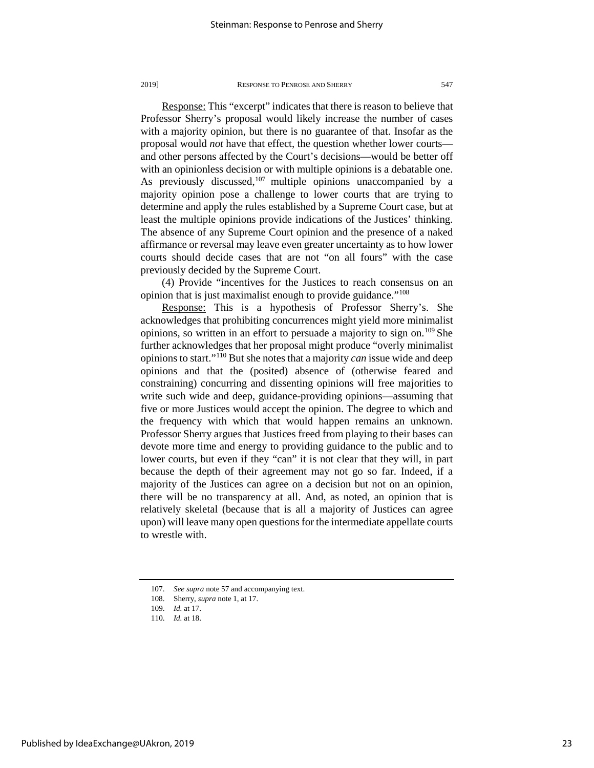Response: This "excerpt" indicates that there is reason to believe that Professor Sherry's proposal would likely increase the number of cases with a majority opinion, but there is no guarantee of that. Insofar as the proposal would *not* have that effect, the question whether lower courts and other persons affected by the Court's decisions—would be better off with an opinionless decision or with multiple opinions is a debatable one. As previously discussed, $107$  multiple opinions unaccompanied by a majority opinion pose a challenge to lower courts that are trying to determine and apply the rules established by a Supreme Court case, but at least the multiple opinions provide indications of the Justices' thinking. The absence of any Supreme Court opinion and the presence of a naked affirmance or reversal may leave even greater uncertainty as to how lower courts should decide cases that are not "on all fours" with the case previously decided by the Supreme Court.

(4) Provide "incentives for the Justices to reach consensus on an opinion that is just maximalist enough to provide guidance."[108](#page-23-1)

Response: This is a hypothesis of Professor Sherry's. She acknowledges that prohibiting concurrences might yield more minimalist opinions, so written in an effort to persuade a majority to sign on.[109](#page-23-2) She further acknowledges that her proposal might produce "overly minimalist opinions to start."[110](#page-23-3) But she notes that a majority *can* issue wide and deep opinions and that the (posited) absence of (otherwise feared and constraining) concurring and dissenting opinions will free majorities to write such wide and deep, guidance-providing opinions—assuming that five or more Justices would accept the opinion. The degree to which and the frequency with which that would happen remains an unknown. Professor Sherry argues that Justices freed from playing to their bases can devote more time and energy to providing guidance to the public and to lower courts, but even if they "can" it is not clear that they will, in part because the depth of their agreement may not go so far. Indeed, if a majority of the Justices can agree on a decision but not on an opinion, there will be no transparency at all. And, as noted, an opinion that is relatively skeletal (because that is all a majority of Justices can agree upon) will leave many open questions for the intermediate appellate courts to wrestle with.

<span id="page-23-0"></span><sup>107.</sup> *See supra* note 57 and accompanying text.

<sup>108.</sup> Sherry, *supra* note 1, at 17.

<span id="page-23-3"></span><span id="page-23-2"></span><span id="page-23-1"></span><sup>109.</sup> *Id.* at 17.

<sup>110.</sup> *Id.* at 18.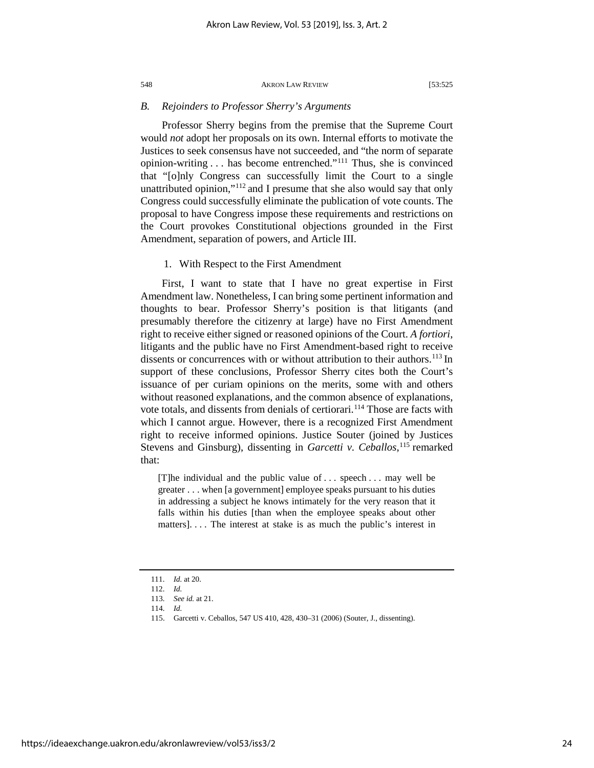# *B. Rejoinders to Professor Sherry's Arguments*

Professor Sherry begins from the premise that the Supreme Court would *not* adopt her proposals on its own. Internal efforts to motivate the Justices to seek consensus have not succeeded, and "the norm of separate opinion-writing . . . has become entrenched."[111](#page-24-0) Thus, she is convinced that "[o]nly Congress can successfully limit the Court to a single unattributed opinion,"[112](#page-24-1) and I presume that she also would say that only Congress could successfully eliminate the publication of vote counts. The proposal to have Congress impose these requirements and restrictions on the Court provokes Constitutional objections grounded in the First Amendment, separation of powers, and Article III.

# 1. With Respect to the First Amendment

First, I want to state that I have no great expertise in First Amendment law. Nonetheless, I can bring some pertinent information and thoughts to bear. Professor Sherry's position is that litigants (and presumably therefore the citizenry at large) have no First Amendment right to receive either signed or reasoned opinions of the Court. *A fortiori*, litigants and the public have no First Amendment-based right to receive dissents or concurrences with or without attribution to their authors.<sup>113</sup> In support of these conclusions, Professor Sherry cites both the Court's issuance of per curiam opinions on the merits, some with and others without reasoned explanations, and the common absence of explanations, vote totals, and dissents from denials of certiorari.<sup>[114](#page-24-3)</sup> Those are facts with which I cannot argue. However, there is a recognized First Amendment right to receive informed opinions. Justice Souter (joined by Justices Stevens and Ginsburg), dissenting in *Garcetti v. Ceballos*,<sup>[115](#page-24-4)</sup> remarked that:

[T]he individual and the public value of . . . speech . . . may well be greater . . . when [a government] employee speaks pursuant to his duties in addressing a subject he knows intimately for the very reason that it falls within his duties [than when the employee speaks about other matters]. . . . The interest at stake is as much the public's interest in

<span id="page-24-0"></span><sup>111.</sup> *Id.* at 20.

<span id="page-24-1"></span><sup>112.</sup> *Id.*

<span id="page-24-2"></span><sup>113.</sup> *See id.* at 21.

<sup>114.</sup> *Id.*

<span id="page-24-4"></span><span id="page-24-3"></span><sup>115.</sup> Garcetti v. Ceballos, 547 US 410, 428, 430–31 (2006) (Souter, J., dissenting).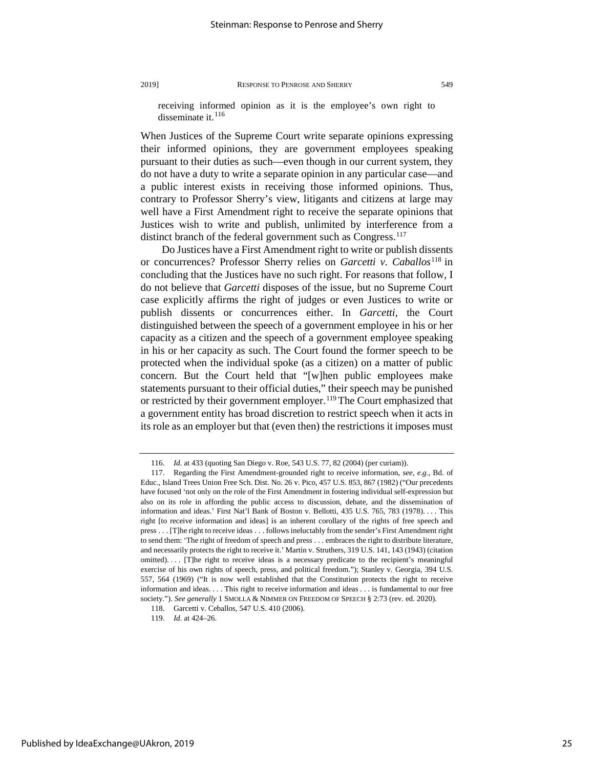receiving informed opinion as it is the employee's own right to disseminate it.<sup>[116](#page-25-0)</sup>

When Justices of the Supreme Court write separate opinions expressing their informed opinions, they are government employees speaking pursuant to their duties as such—even though in our current system, they do not have a duty to write a separate opinion in any particular case—and a public interest exists in receiving those informed opinions. Thus, contrary to Professor Sherry's view, litigants and citizens at large may well have a First Amendment right to receive the separate opinions that Justices wish to write and publish, unlimited by interference from a distinct branch of the federal government such as Congress.<sup>[117](#page-25-1)</sup>

Do Justices have a First Amendment right to write or publish dissents or concurrences? Professor Sherry relies on *Garcetti v. Caballos*[118](#page-25-2) in concluding that the Justices have no such right. For reasons that follow, I do not believe that *Garcetti* disposes of the issue, but no Supreme Court case explicitly affirms the right of judges or even Justices to write or publish dissents or concurrences either. In *Garcetti*, the Court distinguished between the speech of a government employee in his or her capacity as a citizen and the speech of a government employee speaking in his or her capacity as such. The Court found the former speech to be protected when the individual spoke (as a citizen) on a matter of public concern. But the Court held that "[w]hen public employees make statements pursuant to their official duties," their speech may be punished or restricted by their government employer.<sup>[119](#page-25-3)</sup> The Court emphasized that a government entity has broad discretion to restrict speech when it acts in its role as an employer but that (even then) the restrictions it imposes must

<span id="page-25-3"></span><span id="page-25-2"></span>Published by IdeaExchange@UAkron, 2019

<sup>116.</sup> *Id.* at 433 (quoting San Diego v. Roe, 543 U.S. 77, 82 (2004) (per curiam)).

<span id="page-25-1"></span><span id="page-25-0"></span><sup>117.</sup> Regarding the First Amendment-grounded right to receive information, *see, e.g.*, Bd. of Educ., Island Trees Union Free Sch. Dist. No. 26 v. Pico, 457 U.S. 853, 867 (1982) ("Our precedents have focused 'not only on the role of the First Amendment in fostering individual self-expression but also on its role in affording the public access to discussion, debate, and the dissemination of information and ideas.' First Nat'l Bank of Boston v. Bellotti, 435 U.S. 765, 783 (1978). . . . This right [to receive information and ideas] is an inherent corollary of the rights of free speech and press . . . [T]he right to receive ideas . . . follows ineluctably from the sender's First Amendment right to send them: 'The right of freedom of speech and press . . . embraces the right to distribute literature, and necessarily protects the right to receive it.' Martin v. Struthers, 319 U.S. 141, 143 (1943) (citation omitted). . . . [T]he right to receive ideas is a necessary predicate to the recipient's meaningful exercise of his own rights of speech, press, and political freedom."); Stanley v. Georgia, 394 U.S. 557, 564 (1969) ("It is now well established that the Constitution protects the right to receive information and ideas. . . . This right to receive information and ideas . . . is fundamental to our free society."). *See generally* 1 SMOLLA & NIMMER ON FREEDOM OF SPEECH § 2:73 (rev. ed. 2020).

<sup>118.</sup> Garcetti v. Ceballos, 547 U.S. 410 (2006).

<sup>119.</sup> *Id.* at 424–26.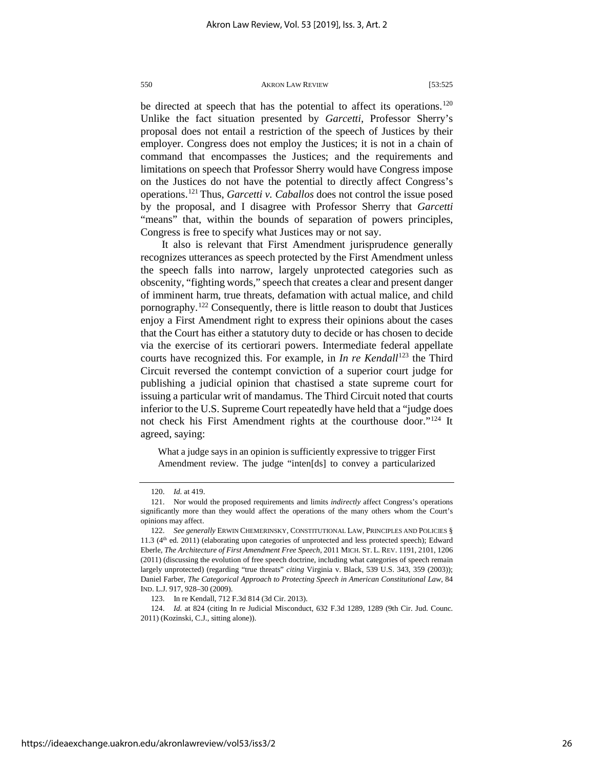be directed at speech that has the potential to affect its operations.<sup>120</sup> Unlike the fact situation presented by *Garcetti*, Professor Sherry's proposal does not entail a restriction of the speech of Justices by their employer. Congress does not employ the Justices; it is not in a chain of command that encompasses the Justices; and the requirements and limitations on speech that Professor Sherry would have Congress impose on the Justices do not have the potential to directly affect Congress's operations.[121](#page-26-1) Thus, *Garcetti v. Caballos* does not control the issue posed by the proposal, and I disagree with Professor Sherry that *Garcetti* "means" that, within the bounds of separation of powers principles, Congress is free to specify what Justices may or not say.

It also is relevant that First Amendment jurisprudence generally recognizes utterances as speech protected by the First Amendment unless the speech falls into narrow, largely unprotected categories such as obscenity, "fighting words," speech that creates a clear and present danger of imminent harm, true threats, defamation with actual malice, and child pornography.<sup>122</sup> Consequently, there is little reason to doubt that Justices enjoy a First Amendment right to express their opinions about the cases that the Court has either a statutory duty to decide or has chosen to decide via the exercise of its certiorari powers. Intermediate federal appellate courts have recognized this. For example, in *In re Kendall*<sup>[123](#page-26-3)</sup> the Third Circuit reversed the contempt conviction of a superior court judge for publishing a judicial opinion that chastised a state supreme court for issuing a particular writ of mandamus. The Third Circuit noted that courts inferior to the U.S. Supreme Court repeatedly have held that a "judge does not check his First Amendment rights at the courthouse door."[124](#page-26-4) It agreed, saying:

What a judge says in an opinion is sufficiently expressive to trigger First Amendment review. The judge "inten[ds] to convey a particularized

<span id="page-26-4"></span><span id="page-26-3"></span>124. *Id.* at 824 (citing In re Judicial Misconduct, 632 F.3d 1289, 1289 (9th Cir. Jud. Counc. 2011) (Kozinski, C.J., sitting alone)).

<sup>120.</sup> *Id.* at 419.

<span id="page-26-1"></span><span id="page-26-0"></span><sup>121.</sup> Nor would the proposed requirements and limits *indirectly* affect Congress's operations significantly more than they would affect the operations of the many others whom the Court's opinions may affect.

<span id="page-26-2"></span><sup>122.</sup> *See generally* ERWIN CHEMERINSKY, CONSTITUTIONAL LAW, PRINCIPLES AND POLICIES § 11.3 (4th ed. 2011) (elaborating upon categories of unprotected and less protected speech); Edward Eberle, *The Architecture of First Amendment Free Speech*, 2011 MICH. ST. L. REV. 1191, 2101, 1206 (2011) (discussing the evolution of free speech doctrine, including what categories of speech remain largely unprotected) (regarding "true threats" *citing* Virginia v. Black, 539 U.S. 343, 359 (2003)); Daniel Farber, *The Categorical Approach to Protecting Speech in American Constitutional Law*, 84 IND. L.J. 917, 928–30 (2009).

<sup>123.</sup> In re Kendall, 712 F.3d 814 (3d Cir. 2013).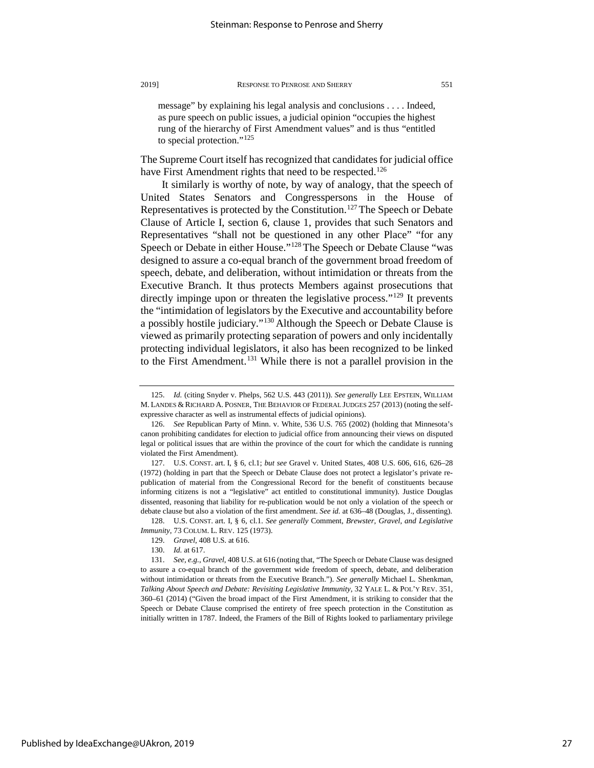message" by explaining his legal analysis and conclusions . . . . Indeed, as pure speech on public issues, a judicial opinion "occupies the highest rung of the hierarchy of First Amendment values" and is thus "entitled to special protection."<sup>[125](#page-27-0)</sup>

The Supreme Court itself has recognized that candidates for judicial office have First Amendment rights that need to be respected.<sup>126</sup>

It similarly is worthy of note, by way of analogy, that the speech of United States Senators and Congresspersons in the House of Representatives is protected by the Constitution.<sup>[127](#page-27-2)</sup>The Speech or Debate Clause of Article I, section 6, clause 1, provides that such Senators and Representatives "shall not be questioned in any other Place" "for any Speech or Debate in either House."<sup>[128](#page-27-3)</sup> The Speech or Debate Clause "was designed to assure a co-equal branch of the government broad freedom of speech, debate, and deliberation, without intimidation or threats from the Executive Branch. It thus protects Members against prosecutions that directly impinge upon or threaten the legislative process."<sup>129</sup> It prevents the "intimidation of legislators by the Executive and accountability before a possibly hostile judiciary."[130](#page-27-5) Although the Speech or Debate Clause is viewed as primarily protecting separation of powers and only incidentally protecting individual legislators, it also has been recognized to be linked to the First Amendment.<sup>[131](#page-27-6)</sup> While there is not a parallel provision in the

<span id="page-27-4"></span><span id="page-27-3"></span>128. U.S. CONST. art. I, § 6, cl.1. *See generally* Comment, *Brewster, Gravel, and Legislative Immunity*, 73 COLUM. L. REV. 125 (1973).

<span id="page-27-0"></span><sup>125.</sup> *Id.* (citing Snyder v. Phelps, 562 U.S. 443 (2011)). *See generally* LEE EPSTEIN, WILLIAM M. LANDES & RICHARD A. POSNER, THE BEHAVIOR OF FEDERAL JUDGES 257 (2013) (noting the selfexpressive character as well as instrumental effects of judicial opinions).

<span id="page-27-1"></span><sup>126.</sup> *See* Republican Party of Minn. v. White, 536 U.S. 765 (2002) (holding that Minnesota's canon prohibiting candidates for election to judicial office from announcing their views on disputed legal or political issues that are within the province of the court for which the candidate is running violated the First Amendment).

<span id="page-27-2"></span><sup>127.</sup> U.S. CONST. art. I, § 6, cl.1; *but see* Gravel v. United States, 408 U.S. 606, 616, 626–28 (1972) (holding in part that the Speech or Debate Clause does not protect a legislator's private republication of material from the Congressional Record for the benefit of constituents because informing citizens is not a "legislative" act entitled to constitutional immunity). Justice Douglas dissented, reasoning that liability for re-publication would be not only a violation of the speech or debate clause but also a violation of the first amendment. *See id.* at 636–48 (Douglas, J., dissenting).

<sup>129.</sup> *Gravel*, 408 U.S. at 616.

<sup>130.</sup> *Id.* at 617.

<span id="page-27-6"></span><span id="page-27-5"></span><sup>131.</sup> *See, e.g.*, *Gravel*, 408 U.S. at 616 (noting that, "The Speech or Debate Clause was designed to assure a co-equal branch of the government wide freedom of speech, debate, and deliberation without intimidation or threats from the Executive Branch."). *See generally* Michael L. Shenkman, *Talking About Speech and Debate: Revisiting Legislative Immunity*, 32 YALE L. & POL'Y REV. 351, 360–61 (2014) ("Given the broad impact of the First Amendment, it is striking to consider that the Speech or Debate Clause comprised the entirety of free speech protection in the Constitution as initially written in 1787. Indeed, the Framers of the Bill of Rights looked to parliamentary privilege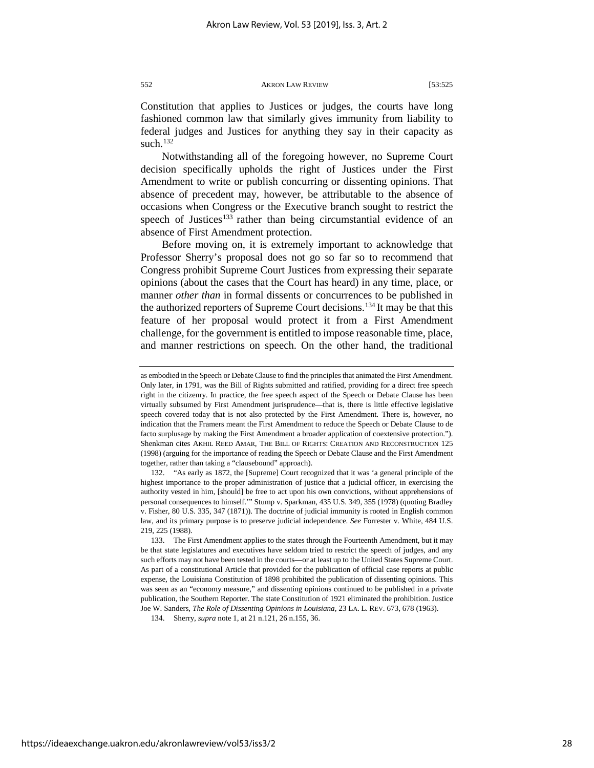Constitution that applies to Justices or judges, the courts have long fashioned common law that similarly gives immunity from liability to federal judges and Justices for anything they say in their capacity as such.<sup>132</sup>

Notwithstanding all of the foregoing however, no Supreme Court decision specifically upholds the right of Justices under the First Amendment to write or publish concurring or dissenting opinions. That absence of precedent may, however, be attributable to the absence of occasions when Congress or the Executive branch sought to restrict the speech of Justices<sup>[133](#page-28-1)</sup> rather than being circumstantial evidence of an absence of First Amendment protection.

Before moving on, it is extremely important to acknowledge that Professor Sherry's proposal does not go so far so to recommend that Congress prohibit Supreme Court Justices from expressing their separate opinions (about the cases that the Court has heard) in any time, place, or manner *other than* in formal dissents or concurrences to be published in the authorized reporters of Supreme Court decisions.<sup>[134](#page-28-2)</sup> It may be that this feature of her proposal would protect it from a First Amendment challenge, for the government is entitled to impose reasonable time, place, and manner restrictions on speech. On the other hand, the traditional

<span id="page-28-0"></span>132. "As early as 1872, the [Supreme] Court recognized that it was 'a general principle of the highest importance to the proper administration of justice that a judicial officer, in exercising the authority vested in him, [should] be free to act upon his own convictions, without apprehensions of personal consequences to himself.'" Stump v. Sparkman, 435 U.S. 349, 355 (1978) (quoting Bradley v. Fisher, 80 U.S. 335, 347 (1871)). The doctrine of judicial immunity is rooted in English common law, and its primary purpose is to preserve judicial independence. *See* Forrester v. White, 484 U.S. 219, 225 (1988).

as embodied in the Speech or Debate Clause to find the principles that animated the First Amendment. Only later, in 1791, was the Bill of Rights submitted and ratified, providing for a direct free speech right in the citizenry. In practice, the free speech aspect of the Speech or Debate Clause has been virtually subsumed by First Amendment jurisprudence—that is, there is little effective legislative speech covered today that is not also protected by the First Amendment. There is, however, no indication that the Framers meant the First Amendment to reduce the Speech or Debate Clause to de facto surplusage by making the First Amendment a broader application of coextensive protection."). Shenkman cites AKHIL REED AMAR, THE BILL OF RIGHTS: CREATION AND RECONSTRUCTION 125 (1998) (arguing for the importance of reading the Speech or Debate Clause and the First Amendment together, rather than taking a "clausebound" approach).

<span id="page-28-1"></span><sup>133.</sup> The First Amendment applies to the states through the Fourteenth Amendment, but it may be that state legislatures and executives have seldom tried to restrict the speech of judges, and any such efforts may not have been tested in the courts—or at least up to the United States Supreme Court. As part of a constitutional Article that provided for the publication of official case reports at public expense, the Louisiana Constitution of 1898 prohibited the publication of dissenting opinions. This was seen as an "economy measure," and dissenting opinions continued to be published in a private publication, the Southern Reporter. The state Constitution of 1921 eliminated the prohibition. Justice Joe W. Sanders, *The Role of Dissenting Opinions in Louisiana*, 23 LA. L. REV. 673, 678 (1963).

<span id="page-28-2"></span><sup>134.</sup> Sherry, *supra* note 1, at 21 n.121, 26 n.155, 36.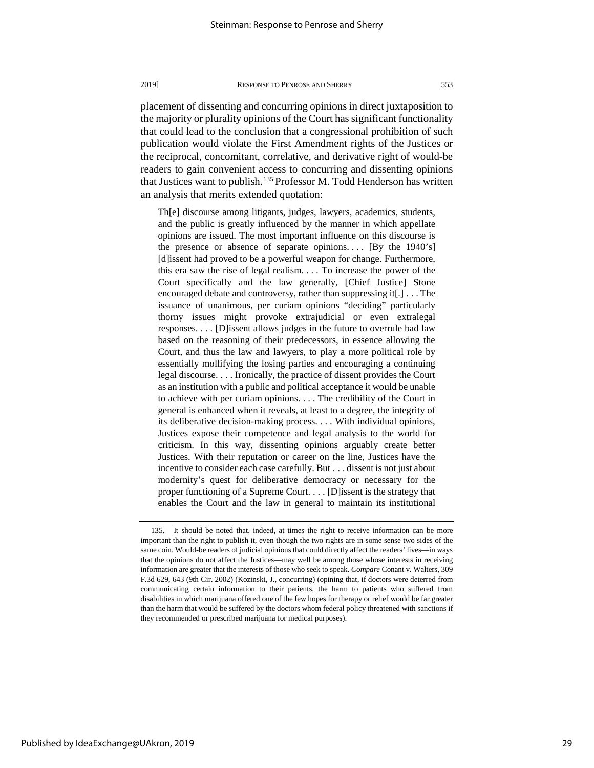placement of dissenting and concurring opinions in direct juxtaposition to the majority or plurality opinions of the Court has significant functionality that could lead to the conclusion that a congressional prohibition of such publication would violate the First Amendment rights of the Justices or the reciprocal, concomitant, correlative, and derivative right of would-be readers to gain convenient access to concurring and dissenting opinions that Justices want to publish.<sup>[135](#page-29-0)</sup> Professor M. Todd Henderson has written an analysis that merits extended quotation:

Th[e] discourse among litigants, judges, lawyers, academics, students, and the public is greatly influenced by the manner in which appellate opinions are issued. The most important influence on this discourse is the presence or absence of separate opinions.... [By the  $1940$ 's] [d]issent had proved to be a powerful weapon for change. Furthermore, this era saw the rise of legal realism. . . . To increase the power of the Court specifically and the law generally, [Chief Justice] Stone encouraged debate and controversy, rather than suppressing it[.] . . . The issuance of unanimous, per curiam opinions "deciding" particularly thorny issues might provoke extrajudicial or even extralegal responses. . . . [D]issent allows judges in the future to overrule bad law based on the reasoning of their predecessors, in essence allowing the Court, and thus the law and lawyers, to play a more political role by essentially mollifying the losing parties and encouraging a continuing legal discourse. . . . Ironically, the practice of dissent provides the Court as an institution with a public and political acceptance it would be unable to achieve with per curiam opinions. . . . The credibility of the Court in general is enhanced when it reveals, at least to a degree, the integrity of its deliberative decision-making process. . . . With individual opinions, Justices expose their competence and legal analysis to the world for criticism. In this way, dissenting opinions arguably create better Justices. With their reputation or career on the line, Justices have the incentive to consider each case carefully. But . . . dissent is not just about modernity's quest for deliberative democracy or necessary for the proper functioning of a Supreme Court. . . . [D]issent is the strategy that enables the Court and the law in general to maintain its institutional

<span id="page-29-0"></span><sup>135.</sup> It should be noted that, indeed, at times the right to receive information can be more important than the right to publish it, even though the two rights are in some sense two sides of the same coin. Would-be readers of judicial opinions that could directly affect the readers' lives—in ways that the opinions do not affect the Justices—may well be among those whose interests in receiving information are greater that the interests of those who seek to speak. *Compare* Conant v. Walters, 309 F.3d 629, 643 (9th Cir. 2002) (Kozinski, J., concurring) (opining that, if doctors were deterred from communicating certain information to their patients, the harm to patients who suffered from disabilities in which marijuana offered one of the few hopes for therapy or relief would be far greater than the harm that would be suffered by the doctors whom federal policy threatened with sanctions if they recommended or prescribed marijuana for medical purposes).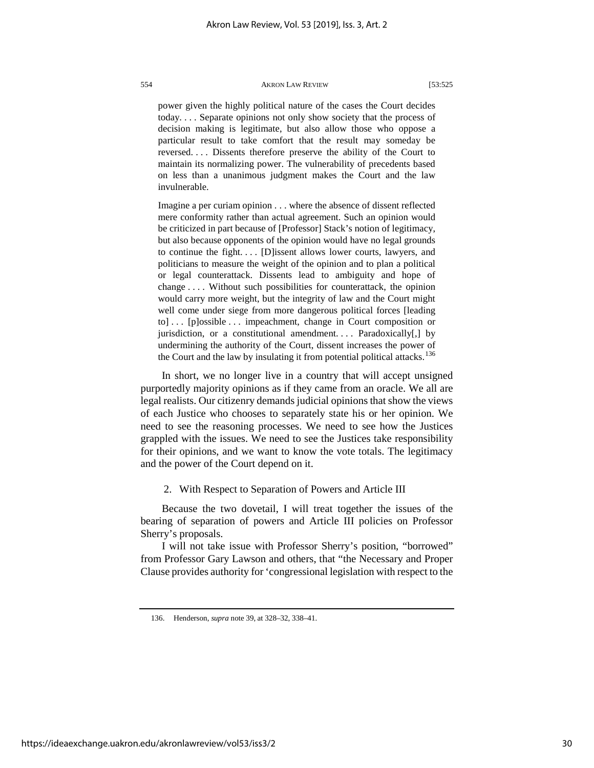power given the highly political nature of the cases the Court decides today. . . . Separate opinions not only show society that the process of decision making is legitimate, but also allow those who oppose a particular result to take comfort that the result may someday be reversed. . . . Dissents therefore preserve the ability of the Court to maintain its normalizing power. The vulnerability of precedents based on less than a unanimous judgment makes the Court and the law invulnerable.

Imagine a per curiam opinion . . . where the absence of dissent reflected mere conformity rather than actual agreement. Such an opinion would be criticized in part because of [Professor] Stack's notion of legitimacy, but also because opponents of the opinion would have no legal grounds to continue the fight. . . . [D]issent allows lower courts, lawyers, and politicians to measure the weight of the opinion and to plan a political or legal counterattack. Dissents lead to ambiguity and hope of change . . . . Without such possibilities for counterattack, the opinion would carry more weight, but the integrity of law and the Court might well come under siege from more dangerous political forces [leading to] . . . [p]ossible . . . impeachment, change in Court composition or jurisdiction, or a constitutional amendment.... Paradoxically[,] by undermining the authority of the Court, dissent increases the power of the Court and the law by insulating it from potential political attacks.<sup>[136](#page-30-0)</sup>

In short, we no longer live in a country that will accept unsigned purportedly majority opinions as if they came from an oracle. We all are legal realists. Our citizenry demands judicial opinions that show the views of each Justice who chooses to separately state his or her opinion. We need to see the reasoning processes. We need to see how the Justices grappled with the issues. We need to see the Justices take responsibility for their opinions, and we want to know the vote totals. The legitimacy and the power of the Court depend on it.

# 2. With Respect to Separation of Powers and Article III

Because the two dovetail, I will treat together the issues of the bearing of separation of powers and Article III policies on Professor Sherry's proposals.

I will not take issue with Professor Sherry's position, "borrowed" from Professor Gary Lawson and others, that "the Necessary and Proper Clause provides authority for 'congressional legislation with respect to the

<span id="page-30-0"></span><sup>136.</sup> Henderson, *supra* note 39, at 328–32, 338–41.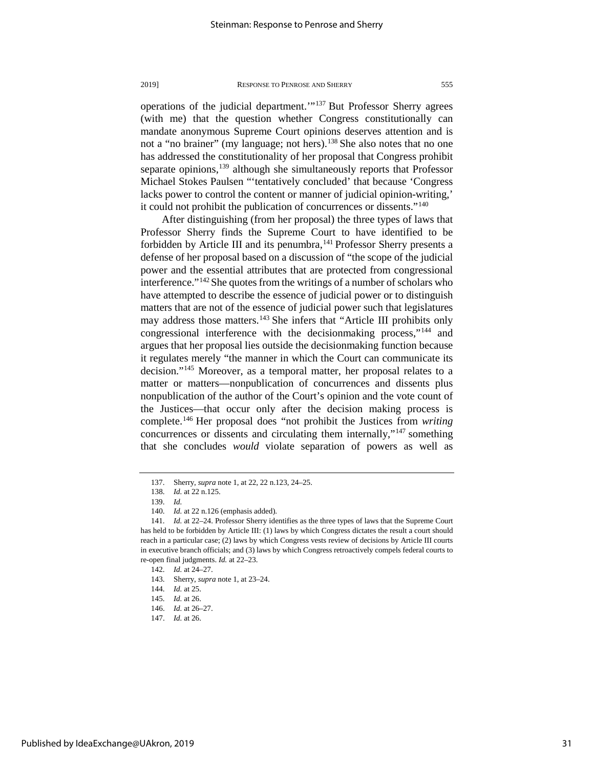operations of the judicial department.'"[137](#page-31-0) But Professor Sherry agrees (with me) that the question whether Congress constitutionally can mandate anonymous Supreme Court opinions deserves attention and is not a "no brainer" (my language; not hers).<sup>[138](#page-31-1)</sup> She also notes that no one has addressed the constitutionality of her proposal that Congress prohibit separate opinions, $139$  although she simultaneously reports that Professor Michael Stokes Paulsen "'tentatively concluded' that because 'Congress lacks power to control the content or manner of judicial opinion-writing,' it could not prohibit the publication of concurrences or dissents."[140](#page-31-3)

After distinguishing (from her proposal) the three types of laws that Professor Sherry finds the Supreme Court to have identified to be forbidden by Article III and its penumbra,  $141$  Professor Sherry presents a defense of her proposal based on a discussion of "the scope of the judicial power and the essential attributes that are protected from congressional interference."[142](#page-31-5)She quotes from the writings of a number of scholars who have attempted to describe the essence of judicial power or to distinguish matters that are not of the essence of judicial power such that legislatures may address those matters.<sup>143</sup> She infers that "Article III prohibits only congressional interference with the decisionmaking process,"<sup>[144](#page-31-7)</sup> and argues that her proposal lies outside the decisionmaking function because it regulates merely "the manner in which the Court can communicate its decision."[145](#page-31-8) Moreover, as a temporal matter, her proposal relates to a matter or matters—nonpublication of concurrences and dissents plus nonpublication of the author of the Court's opinion and the vote count of the Justices—that occur only after the decision making process is complete.[146](#page-31-9) Her proposal does "not prohibit the Justices from *writing* concurrences or dissents and circulating them internally,"[147](#page-31-10) something that she concludes *would* violate separation of powers as well as

<sup>137.</sup> Sherry, *supra* note 1, at 22, 22 n.123, 24–25.

<sup>138.</sup> *Id.* at 22 n.125.

<sup>139.</sup> *Id.*

<sup>140.</sup> *Id.* at 22 n.126 (emphasis added).

<span id="page-31-5"></span><span id="page-31-4"></span><span id="page-31-3"></span><span id="page-31-2"></span><span id="page-31-1"></span><span id="page-31-0"></span><sup>141.</sup> *Id.* at 22–24. Professor Sherry identifies as the three types of laws that the Supreme Court has held to be forbidden by Article III: (1) laws by which Congress dictates the result a court should reach in a particular case; (2) laws by which Congress vests review of decisions by Article III courts in executive branch officials; and (3) laws by which Congress retroactively compels federal courts to re-open final judgments. *Id.* at 22–23.

<span id="page-31-6"></span><sup>142.</sup> *Id.* at 24–27.

<sup>143.</sup> Sherry, *supra* note 1, at 23–24.

<sup>144.</sup> *Id.* at 25.

<span id="page-31-9"></span><span id="page-31-8"></span><span id="page-31-7"></span><sup>145.</sup> *Id.* at 26.

<span id="page-31-10"></span><sup>146.</sup> *Id.* at 26–27.

<sup>147.</sup> *Id.* at 26.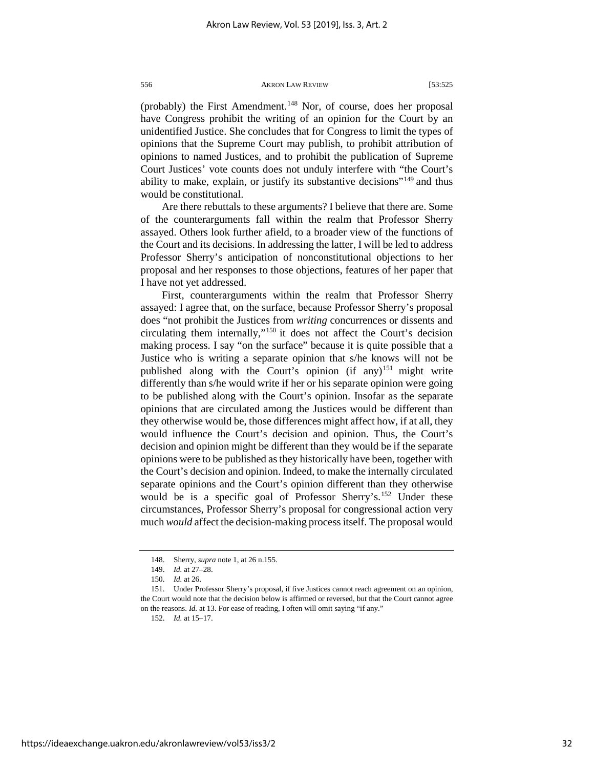(probably) the First Amendment.<sup>[148](#page-32-0)</sup> Nor, of course, does her proposal have Congress prohibit the writing of an opinion for the Court by an unidentified Justice. She concludes that for Congress to limit the types of opinions that the Supreme Court may publish, to prohibit attribution of opinions to named Justices, and to prohibit the publication of Supreme Court Justices' vote counts does not unduly interfere with "the Court's ability to make, explain, or justify its substantive decisions"<sup>[149](#page-32-1)</sup> and thus would be constitutional.

Are there rebuttals to these arguments? I believe that there are. Some of the counterarguments fall within the realm that Professor Sherry assayed. Others look further afield, to a broader view of the functions of the Court and its decisions. In addressing the latter, I will be led to address Professor Sherry's anticipation of nonconstitutional objections to her proposal and her responses to those objections, features of her paper that I have not yet addressed.

First, counterarguments within the realm that Professor Sherry assayed: I agree that, on the surface, because Professor Sherry's proposal does "not prohibit the Justices from *writing* concurrences or dissents and circulating them internally,"[150](#page-32-2) it does not affect the Court's decision making process. I say "on the surface" because it is quite possible that a Justice who is writing a separate opinion that s/he knows will not be published along with the Court's opinion (if any)<sup>[151](#page-32-3)</sup> might write differently than s/he would write if her or his separate opinion were going to be published along with the Court's opinion. Insofar as the separate opinions that are circulated among the Justices would be different than they otherwise would be, those differences might affect how, if at all, they would influence the Court's decision and opinion. Thus, the Court's decision and opinion might be different than they would be if the separate opinions were to be published as they historically have been, together with the Court's decision and opinion. Indeed, to make the internally circulated separate opinions and the Court's opinion different than they otherwise would be is a specific goal of Professor Sherry's.<sup>[152](#page-32-4)</sup> Under these circumstances, Professor Sherry's proposal for congressional action very much *would* affect the decision-making process itself. The proposal would

152. *Id.* at 15–17.

<sup>148.</sup> Sherry, *supra* note 1, at 26 n.155.

<sup>149.</sup> *Id.* at 27–28.

<sup>150.</sup> *Id.* at 26.

<span id="page-32-4"></span><span id="page-32-3"></span><span id="page-32-2"></span><span id="page-32-1"></span><span id="page-32-0"></span><sup>151.</sup> Under Professor Sherry's proposal, if five Justices cannot reach agreement on an opinion, the Court would note that the decision below is affirmed or reversed, but that the Court cannot agree on the reasons. *Id.* at 13. For ease of reading, I often will omit saying "if any."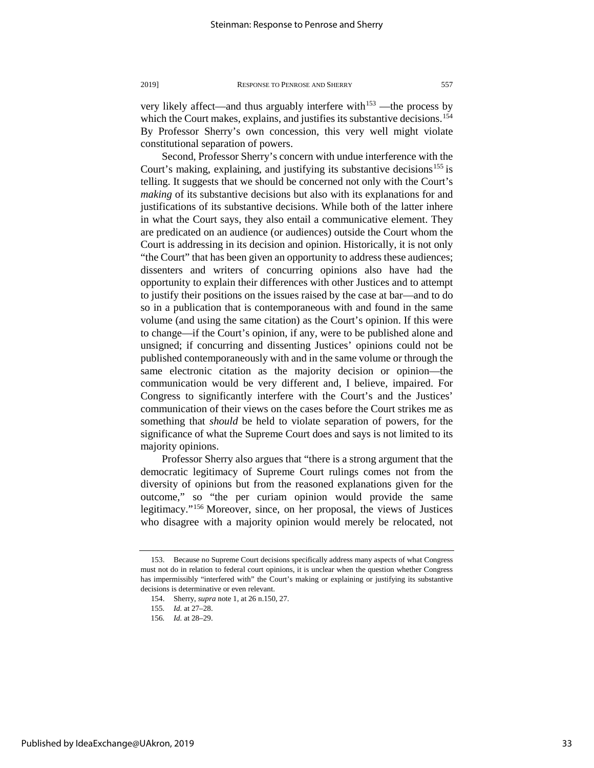very likely affect—and thus arguably interfere with $153$  —the process by which the Court makes, explains, and justifies its substantive decisions.<sup>154</sup> By Professor Sherry's own concession, this very well might violate constitutional separation of powers.

Second, Professor Sherry's concern with undue interference with the Court's making, explaining, and justifying its substantive decisions<sup>[155](#page-33-2)</sup> is telling. It suggests that we should be concerned not only with the Court's *making* of its substantive decisions but also with its explanations for and justifications of its substantive decisions. While both of the latter inhere in what the Court says, they also entail a communicative element. They are predicated on an audience (or audiences) outside the Court whom the Court is addressing in its decision and opinion. Historically, it is not only "the Court" that has been given an opportunity to address these audiences; dissenters and writers of concurring opinions also have had the opportunity to explain their differences with other Justices and to attempt to justify their positions on the issues raised by the case at bar—and to do so in a publication that is contemporaneous with and found in the same volume (and using the same citation) as the Court's opinion. If this were to change—if the Court's opinion, if any, were to be published alone and unsigned; if concurring and dissenting Justices' opinions could not be published contemporaneously with and in the same volume or through the same electronic citation as the majority decision or opinion—the communication would be very different and, I believe, impaired. For Congress to significantly interfere with the Court's and the Justices' communication of their views on the cases before the Court strikes me as something that *should* be held to violate separation of powers, for the significance of what the Supreme Court does and says is not limited to its majority opinions.

Professor Sherry also argues that "there is a strong argument that the democratic legitimacy of Supreme Court rulings comes not from the diversity of opinions but from the reasoned explanations given for the outcome," so "the per curiam opinion would provide the same legitimacy."[156](#page-33-3) Moreover, since, on her proposal, the views of Justices who disagree with a majority opinion would merely be relocated, not

<span id="page-33-2"></span><span id="page-33-1"></span><span id="page-33-0"></span><sup>153.</sup> Because no Supreme Court decisions specifically address many aspects of what Congress must not do in relation to federal court opinions, it is unclear when the question whether Congress has impermissibly "interfered with" the Court's making or explaining or justifying its substantive decisions is determinative or even relevant.

<sup>154.</sup> Sherry, *supra* note 1, at 26 n.150, 27.

<sup>155</sup>*. Id.* at 27–28.

<span id="page-33-3"></span><sup>156</sup>*. Id.* at 28–29.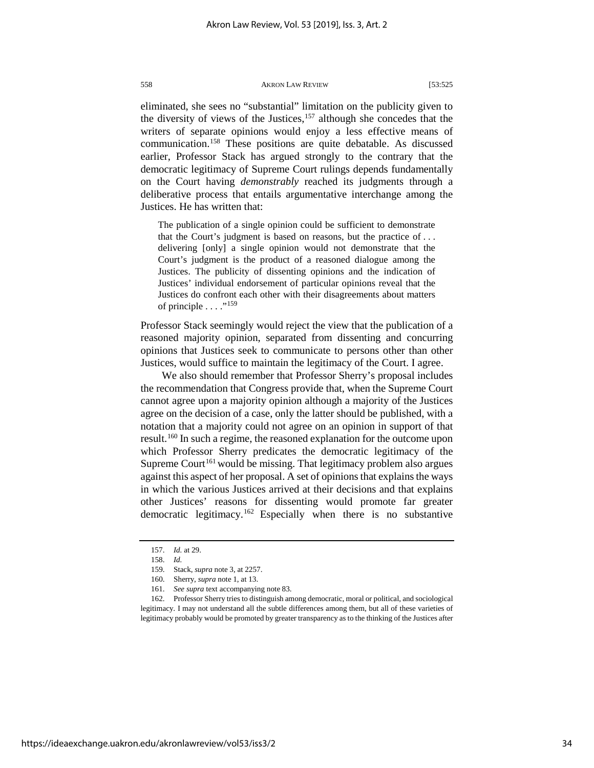eliminated, she sees no "substantial" limitation on the publicity given to the diversity of views of the Justices,  $157$  although she concedes that the writers of separate opinions would enjoy a less effective means of communication.[158](#page-34-1) These positions are quite debatable. As discussed earlier, Professor Stack has argued strongly to the contrary that the democratic legitimacy of Supreme Court rulings depends fundamentally on the Court having *demonstrably* reached its judgments through a deliberative process that entails argumentative interchange among the Justices. He has written that:

The publication of a single opinion could be sufficient to demonstrate that the Court's judgment is based on reasons, but the practice of . . . delivering [only] a single opinion would not demonstrate that the Court's judgment is the product of a reasoned dialogue among the Justices. The publicity of dissenting opinions and the indication of Justices' individual endorsement of particular opinions reveal that the Justices do confront each other with their disagreements about matters of principle  $\dots$ ."<sup>[159](#page-34-2)</sup>

Professor Stack seemingly would reject the view that the publication of a reasoned majority opinion, separated from dissenting and concurring opinions that Justices seek to communicate to persons other than other Justices, would suffice to maintain the legitimacy of the Court. I agree.

We also should remember that Professor Sherry's proposal includes the recommendation that Congress provide that, when the Supreme Court cannot agree upon a majority opinion although a majority of the Justices agree on the decision of a case, only the latter should be published, with a notation that a majority could not agree on an opinion in support of that result.[160](#page-34-3) In such a regime, the reasoned explanation for the outcome upon which Professor Sherry predicates the democratic legitimacy of the Supreme Court<sup>[161](#page-34-4)</sup> would be missing. That legitimacy problem also argues against this aspect of her proposal. A set of opinions that explains the ways in which the various Justices arrived at their decisions and that explains other Justices' reasons for dissenting would promote far greater democratic legitimacy.<sup>[162](#page-34-5)</sup> Especially when there is no substantive

<span id="page-34-5"></span><span id="page-34-4"></span><span id="page-34-3"></span><span id="page-34-2"></span><span id="page-34-1"></span><span id="page-34-0"></span>162. Professor Sherry tries to distinguish among democratic, moral or political, and sociological legitimacy. I may not understand all the subtle differences among them, but all of these varieties of legitimacy probably would be promoted by greater transparency as to the thinking of the Justices after

https://ideaexchange.uakron.edu/akronlawreview/vol53/iss3/2

<sup>157.</sup> *Id.* at 29.

<sup>158.</sup> *Id.*

<sup>159.</sup> Stack, *supra* note 3, at 2257.

<sup>160.</sup> Sherry, *supra* note 1, at 13.

<sup>161.</sup> *See supra* text accompanying note 83.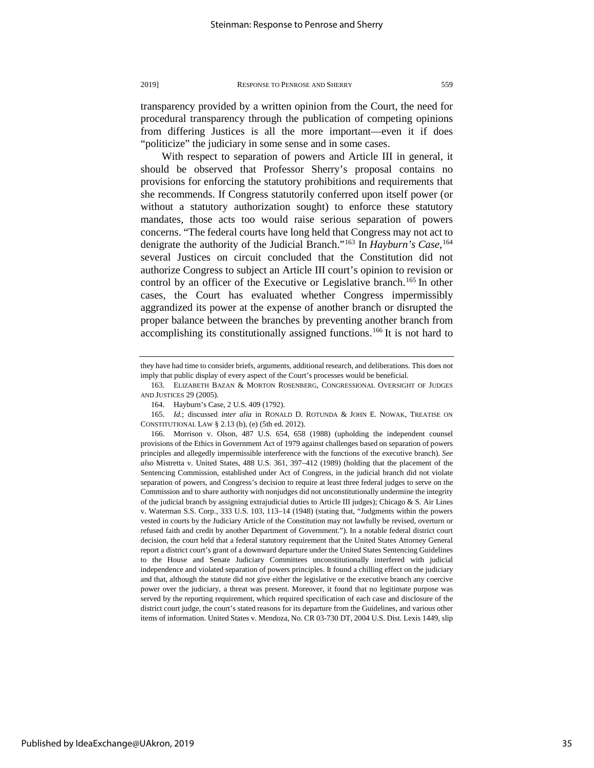With respect to separation of powers and Article III in general, it should be observed that Professor Sherry's proposal contains no provisions for enforcing the statutory prohibitions and requirements that she recommends. If Congress statutorily conferred upon itself power (or without a statutory authorization sought) to enforce these statutory mandates, those acts too would raise serious separation of powers concerns. "The federal courts have long held that Congress may not act to denigrate the authority of the Judicial Branch."[163](#page-35-0) In *Hayburn's Case*, [164](#page-35-1) several Justices on circuit concluded that the Constitution did not authorize Congress to subject an Article III court's opinion to revision or control by an officer of the Executive or Legislative branch.<sup>[165](#page-35-2)</sup> In other cases, the Court has evaluated whether Congress impermissibly aggrandized its power at the expense of another branch or disrupted the proper balance between the branches by preventing another branch from accomplishing its constitutionally assigned functions.[166](#page-35-3) It is not hard to

they have had time to consider briefs, arguments, additional research, and deliberations. This does not imply that public display of every aspect of the Court's processes would be beneficial.

<span id="page-35-0"></span><sup>163.</sup> ELIZABETH BAZAN & MORTON ROSENBERG, CONGRESSIONAL OVERSIGHT OF JUDGES AND JUSTICES 29 (2005).

<sup>164.</sup> Hayburn's Case, 2 U.S. 409 (1792).

<span id="page-35-2"></span><span id="page-35-1"></span><sup>165.</sup> *Id.*; discussed *inter alia* in RONALD D. ROTUNDA & JOHN E. NOWAK, TREATISE ON CONSTITUTIONAL LAW § 2.13 (b), (e) (5th ed. 2012).

<span id="page-35-3"></span><sup>166.</sup> Morrison v. Olson, 487 U.S. 654, 658 (1988) (upholding the independent counsel provisions of the Ethics in Government Act of 1979 against challenges based on separation of powers principles and allegedly impermissible interference with the functions of the executive branch). *See also* Mistretta v. United States, 488 U.S. 361, 397–412 (1989) (holding that the placement of the Sentencing Commission, established under Act of Congress, in the judicial branch did not violate separation of powers, and Congress's decision to require at least three federal judges to serve on the Commission and to share authority with nonjudges did not unconstitutionally undermine the integrity of the judicial branch by assigning extrajudicial duties to Article III judges); Chicago & S. Air Lines v. Waterman S.S. Corp., 333 U.S. 103, 113–14 (1948) (stating that, "Judgments within the powers vested in courts by the Judiciary Article of the Constitution may not lawfully be revised, overturn or refused faith and credit by another Department of Government."). In a notable federal district court decision, the court held that a federal statutory requirement that the United States Attorney General report a district court's grant of a downward departure under the United States Sentencing Guidelines to the House and Senate Judiciary Committees unconstitutionally interfered with judicial independence and violated separation of powers principles. It found a chilling effect on the judiciary and that, although the statute did not give either the legislative or the executive branch any coercive power over the judiciary, a threat was present. Moreover, it found that no legitimate purpose was served by the reporting requirement, which required specification of each case and disclosure of the district court judge, the court's stated reasons for its departure from the Guidelines, and various other items of information. United States v. Mendoza, No. CR 03-730 DT, 2004 U.S. Dist. Lexis 1449, slip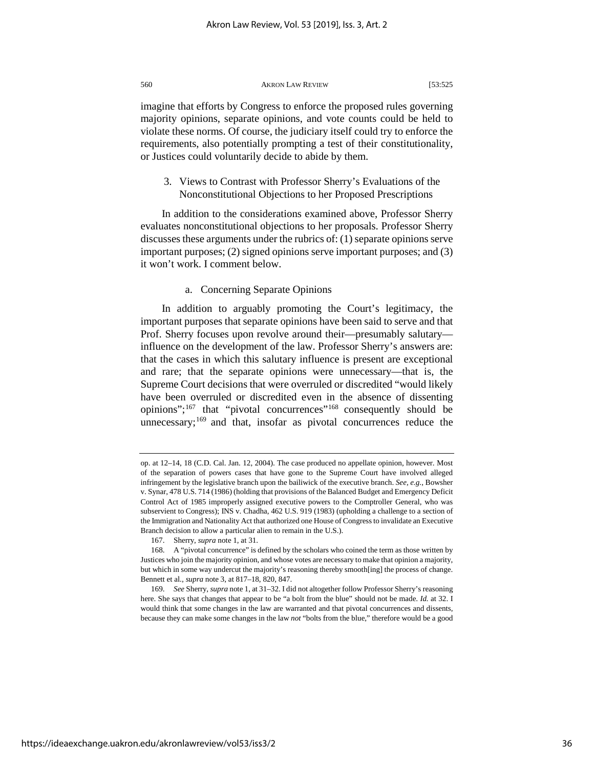imagine that efforts by Congress to enforce the proposed rules governing majority opinions, separate opinions, and vote counts could be held to violate these norms. Of course, the judiciary itself could try to enforce the requirements, also potentially prompting a test of their constitutionality, or Justices could voluntarily decide to abide by them.

3. Views to Contrast with Professor Sherry's Evaluations of the Nonconstitutional Objections to her Proposed Prescriptions

In addition to the considerations examined above, Professor Sherry evaluates nonconstitutional objections to her proposals. Professor Sherry discusses these arguments under the rubrics of: (1) separate opinions serve important purposes; (2) signed opinions serve important purposes; and (3) it won't work. I comment below.

# a. Concerning Separate Opinions

In addition to arguably promoting the Court's legitimacy, the important purposes that separate opinions have been said to serve and that Prof. Sherry focuses upon revolve around their—presumably salutary influence on the development of the law. Professor Sherry's answers are: that the cases in which this salutary influence is present are exceptional and rare; that the separate opinions were unnecessary—that is, the Supreme Court decisions that were overruled or discredited "would likely have been overruled or discredited even in the absence of dissenting opinions";<sup>[167](#page-36-0)</sup> that "pivotal concurrences"<sup>[168](#page-36-1)</sup> consequently should be unnecessary;  $169$  and that, insofar as pivotal concurrences reduce the

https://ideaexchange.uakron.edu/akronlawreview/vol53/iss3/2

op. at 12–14, 18 (C.D. Cal. Jan. 12, 2004). The case produced no appellate opinion, however. Most of the separation of powers cases that have gone to the Supreme Court have involved alleged infringement by the legislative branch upon the bailiwick of the executive branch. *See, e.g.*, Bowsher v. Synar, 478 U.S. 714 (1986) (holding that provisions of the Balanced Budget and Emergency Deficit Control Act of 1985 improperly assigned executive powers to the Comptroller General, who was subservient to Congress); INS v. Chadha, 462 U.S. 919 (1983) (upholding a challenge to a section of the Immigration and Nationality Act that authorized one House of Congress to invalidate an Executive Branch decision to allow a particular alien to remain in the U.S.).

<sup>167.</sup> Sherry, *supra* note 1, at 31.

<span id="page-36-1"></span><span id="page-36-0"></span><sup>168.</sup> A "pivotal concurrence" is defined by the scholars who coined the term as those written by Justices who join the majority opinion, and whose votes are necessary to make that opinion a majority, but which in some way undercut the majority's reasoning thereby smooth[ing] the process of change. Bennett et al., *supra* note 3, at 817–18, 820, 847.

<span id="page-36-2"></span><sup>169.</sup> *See* Sherry, *supra* note 1, at 31–32. I did not altogether follow Professor Sherry's reasoning here. She says that changes that appear to be "a bolt from the blue" should not be made. *Id.* at 32. I would think that some changes in the law are warranted and that pivotal concurrences and dissents, because they can make some changes in the law *not* "bolts from the blue," therefore would be a good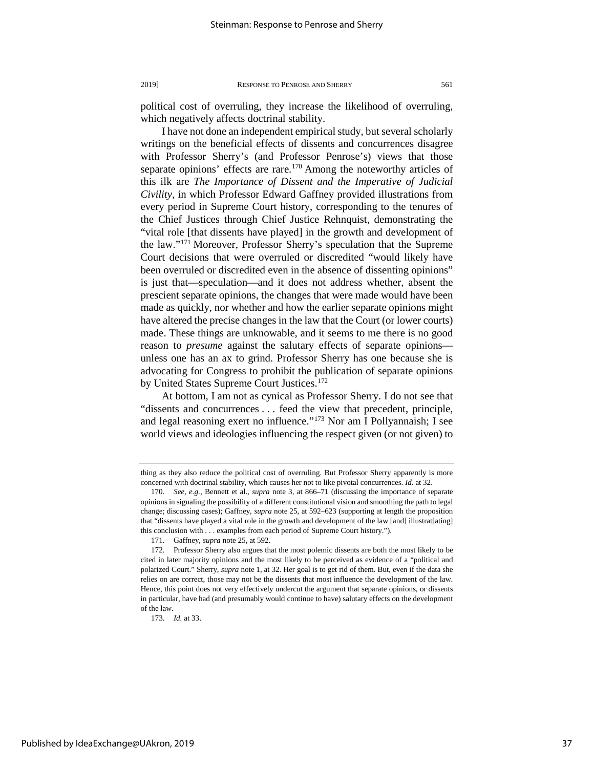political cost of overruling, they increase the likelihood of overruling, which negatively affects doctrinal stability.

I have not done an independent empirical study, but several scholarly writings on the beneficial effects of dissents and concurrences disagree with Professor Sherry's (and Professor Penrose's) views that those separate opinions' effects are rare.<sup>[170](#page-37-0)</sup> Among the noteworthy articles of this ilk are *The Importance of Dissent and the Imperative of Judicial Civility*, in which Professor Edward Gaffney provided illustrations from every period in Supreme Court history, corresponding to the tenures of the Chief Justices through Chief Justice Rehnquist, demonstrating the "vital role [that dissents have played] in the growth and development of the law."[171](#page-37-1) Moreover, Professor Sherry's speculation that the Supreme Court decisions that were overruled or discredited "would likely have been overruled or discredited even in the absence of dissenting opinions" is just that—speculation—and it does not address whether, absent the prescient separate opinions, the changes that were made would have been made as quickly, nor whether and how the earlier separate opinions might have altered the precise changes in the law that the Court (or lower courts) made. These things are unknowable, and it seems to me there is no good reason to *presume* against the salutary effects of separate opinions unless one has an ax to grind. Professor Sherry has one because she is advocating for Congress to prohibit the publication of separate opinions by United States Supreme Court Justices.<sup>[172](#page-37-2)</sup>

At bottom, I am not as cynical as Professor Sherry. I do not see that "dissents and concurrences . . . feed the view that precedent, principle, and legal reasoning exert no influence."[173](#page-37-3) Nor am I Pollyannaish; I see world views and ideologies influencing the respect given (or not given) to

thing as they also reduce the political cost of overruling. But Professor Sherry apparently is more concerned with doctrinal stability, which causes her not to like pivotal concurrences. *Id.* at 32.

<span id="page-37-0"></span><sup>170.</sup> *See, e.g.*, Bennett et al., *supra* note 3, at 866–71 (discussing the importance of separate opinions in signaling the possibility of a different constitutional vision and smoothing the path to legal change; discussing cases); Gaffney, *supra* note 25, at 592–623 (supporting at length the proposition that "dissents have played a vital role in the growth and development of the law [and] illustrat[ating] this conclusion with . . . examples from each period of Supreme Court history.").

<sup>171.</sup> Gaffney, *supra* note 25, at 592.

<span id="page-37-2"></span><span id="page-37-1"></span><sup>172.</sup> Professor Sherry also argues that the most polemic dissents are both the most likely to be cited in later majority opinions and the most likely to be perceived as evidence of a "political and polarized Court." Sherry, *supra* note 1, at 32. Her goal is to get rid of them. But, even if the data she relies on are correct, those may not be the dissents that most influence the development of the law. Hence, this point does not very effectively undercut the argument that separate opinions, or dissents in particular, have had (and presumably would continue to have) salutary effects on the development of the law.

<span id="page-37-3"></span><sup>173.</sup> *Id.* at 33.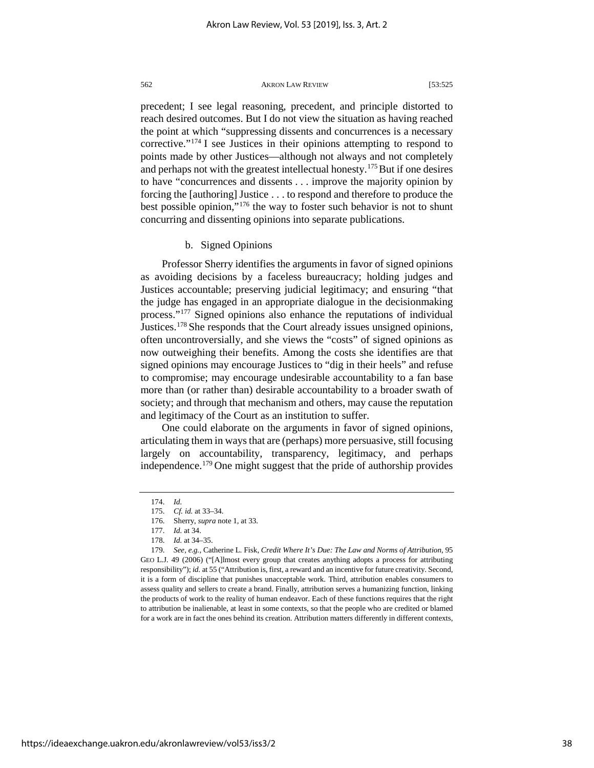precedent; I see legal reasoning, precedent, and principle distorted to reach desired outcomes. But I do not view the situation as having reached the point at which "suppressing dissents and concurrences is a necessary corrective."[174](#page-38-0) I see Justices in their opinions attempting to respond to points made by other Justices—although not always and not completely and perhaps not with the greatest intellectual honesty.<sup>[175](#page-38-1)</sup> But if one desires to have "concurrences and dissents . . . improve the majority opinion by forcing the [authoring] Justice . . . to respond and therefore to produce the best possible opinion,"[176](#page-38-2) the way to foster such behavior is not to shunt concurring and dissenting opinions into separate publications.

# b. Signed Opinions

Professor Sherry identifies the arguments in favor of signed opinions as avoiding decisions by a faceless bureaucracy; holding judges and Justices accountable; preserving judicial legitimacy; and ensuring "that the judge has engaged in an appropriate dialogue in the decisionmaking process."[177](#page-38-3) Signed opinions also enhance the reputations of individual Justices[.178](#page-38-4) She responds that the Court already issues unsigned opinions, often uncontroversially, and she views the "costs" of signed opinions as now outweighing their benefits. Among the costs she identifies are that signed opinions may encourage Justices to "dig in their heels" and refuse to compromise; may encourage undesirable accountability to a fan base more than (or rather than) desirable accountability to a broader swath of society; and through that mechanism and others, may cause the reputation and legitimacy of the Court as an institution to suffer.

One could elaborate on the arguments in favor of signed opinions, articulating them in ways that are (perhaps) more persuasive, still focusing largely on accountability, transparency, legitimacy, and perhaps independence.[179](#page-38-5) One might suggest that the pride of authorship provides

<sup>174.</sup> *Id.*

<sup>175.</sup> *Cf. id.* at 33–34.

<sup>176.</sup> Sherry, *supra* note 1, at 33.

<sup>177.</sup> *Id.* at 34.

<sup>178.</sup> *Id.* at 34–35.

<span id="page-38-5"></span><span id="page-38-4"></span><span id="page-38-3"></span><span id="page-38-2"></span><span id="page-38-1"></span><span id="page-38-0"></span><sup>179.</sup> *See, e.g.*, Catherine L. Fisk, *Credit Where It's Due: The Law and Norms of Attribution*, 95 GEO L.J. 49 (2006) ("[A]lmost every group that creates anything adopts a process for attributing responsibility"); *id.* at 55 ("Attribution is, first, a reward and an incentive for future creativity. Second, it is a form of discipline that punishes unacceptable work. Third, attribution enables consumers to assess quality and sellers to create a brand. Finally, attribution serves a humanizing function, linking the products of work to the reality of human endeavor. Each of these functions requires that the right to attribution be inalienable, at least in some contexts, so that the people who are credited or blamed for a work are in fact the ones behind its creation. Attribution matters differently in different contexts,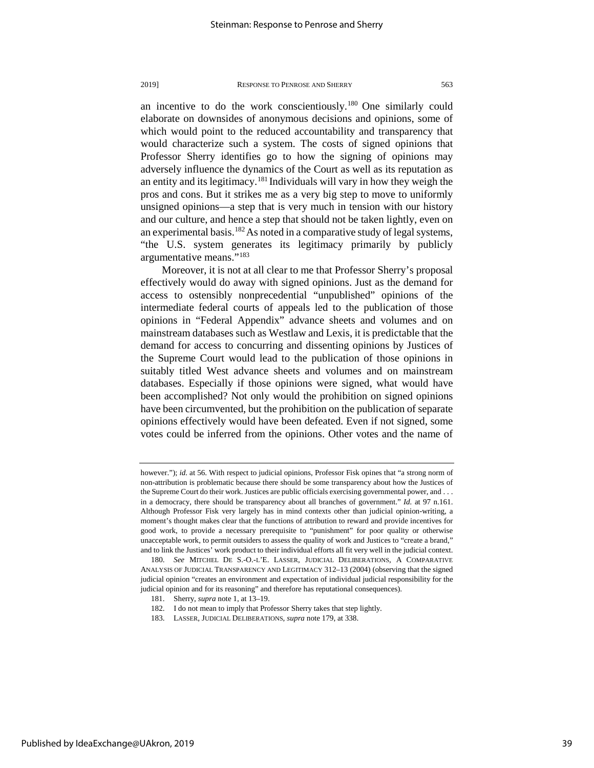an incentive to do the work conscientiously.[180](#page-39-0) One similarly could elaborate on downsides of anonymous decisions and opinions, some of which would point to the reduced accountability and transparency that would characterize such a system. The costs of signed opinions that Professor Sherry identifies go to how the signing of opinions may adversely influence the dynamics of the Court as well as its reputation as an entity and its legitimacy.[181](#page-39-1) Individuals will vary in how they weigh the pros and cons. But it strikes me as a very big step to move to uniformly unsigned opinions—a step that is very much in tension with our history and our culture, and hence a step that should not be taken lightly, even on an experimental basis.<sup>[182](#page-39-2)</sup> As noted in a comparative study of legal systems, "the U.S. system generates its legitimacy primarily by publicly argumentative means."[183](#page-39-3)

Moreover, it is not at all clear to me that Professor Sherry's proposal effectively would do away with signed opinions. Just as the demand for access to ostensibly nonprecedential "unpublished" opinions of the intermediate federal courts of appeals led to the publication of those opinions in "Federal Appendix" advance sheets and volumes and on mainstream databases such as Westlaw and Lexis, it is predictable that the demand for access to concurring and dissenting opinions by Justices of the Supreme Court would lead to the publication of those opinions in suitably titled West advance sheets and volumes and on mainstream databases. Especially if those opinions were signed, what would have been accomplished? Not only would the prohibition on signed opinions have been circumvented, but the prohibition on the publication of separate opinions effectively would have been defeated. Even if not signed, some votes could be inferred from the opinions. Other votes and the name of

however."); *id.* at 56. With respect to judicial opinions, Professor Fisk opines that "a strong norm of non-attribution is problematic because there should be some transparency about how the Justices of the Supreme Court do their work. Justices are public officials exercising governmental power, and . . . in a democracy, there should be transparency about all branches of government." *Id.* at 97 n.161. Although Professor Fisk very largely has in mind contexts other than judicial opinion-writing, a moment's thought makes clear that the functions of attribution to reward and provide incentives for good work, to provide a necessary prerequisite to "punishment" for poor quality or otherwise unacceptable work, to permit outsiders to assess the quality of work and Justices to "create a brand," and to link the Justices' work product to their individual efforts all fit very well in the judicial context.

<span id="page-39-2"></span><span id="page-39-1"></span><span id="page-39-0"></span><sup>180.</sup> *See* MITCHEL DE S.-O.-L'E. LASSER, JUDICIAL DELIBERATIONS, A COMPARATIVE ANALYSIS OF JUDICIAL TRANSPARENCY AND LEGITIMACY 312–13 (2004) (observing that the signed judicial opinion "creates an environment and expectation of individual judicial responsibility for the judicial opinion and for its reasoning" and therefore has reputational consequences).

<sup>181.</sup> Sherry, *supra* note 1, at 13–19.

<span id="page-39-3"></span><sup>182.</sup> I do not mean to imply that Professor Sherry takes that step lightly.

<sup>183.</sup> LASSER, JUDICIAL DELIBERATIONS, *supra* note 179, at 338.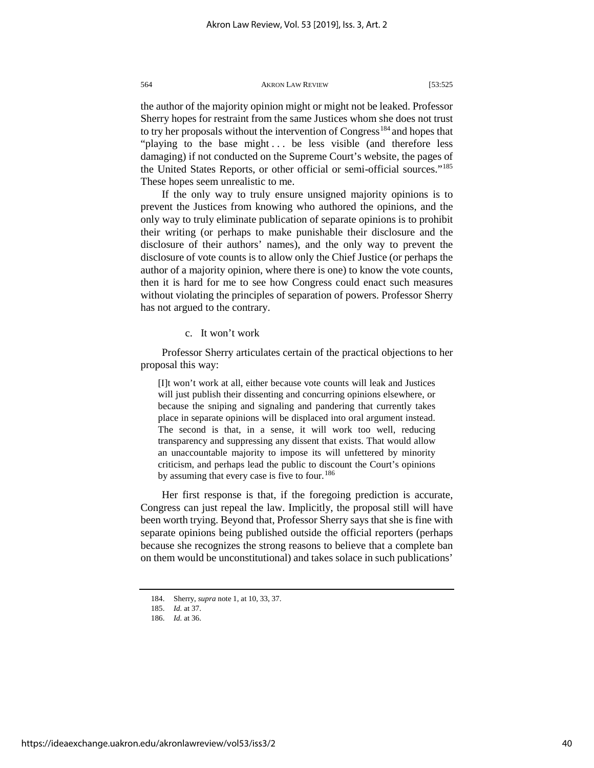the author of the majority opinion might or might not be leaked. Professor Sherry hopes for restraint from the same Justices whom she does not trust to try her proposals without the intervention of Congress<sup>[184](#page-40-0)</sup> and hopes that "playing to the base might ... be less visible (and therefore less damaging) if not conducted on the Supreme Court's website, the pages of the United States Reports, or other official or semi-official sources.["185](#page-40-1) These hopes seem unrealistic to me.

If the only way to truly ensure unsigned majority opinions is to prevent the Justices from knowing who authored the opinions, and the only way to truly eliminate publication of separate opinions is to prohibit their writing (or perhaps to make punishable their disclosure and the disclosure of their authors' names), and the only way to prevent the disclosure of vote counts is to allow only the Chief Justice (or perhaps the author of a majority opinion, where there is one) to know the vote counts, then it is hard for me to see how Congress could enact such measures without violating the principles of separation of powers. Professor Sherry has not argued to the contrary.

# c. It won't work

Professor Sherry articulates certain of the practical objections to her proposal this way:

[I]t won't work at all, either because vote counts will leak and Justices will just publish their dissenting and concurring opinions elsewhere, or because the sniping and signaling and pandering that currently takes place in separate opinions will be displaced into oral argument instead. The second is that, in a sense, it will work too well, reducing transparency and suppressing any dissent that exists. That would allow an unaccountable majority to impose its will unfettered by minority criticism, and perhaps lead the public to discount the Court's opinions by assuming that every case is five to four.<sup>[186](#page-40-2)</sup>

Her first response is that, if the foregoing prediction is accurate, Congress can just repeal the law. Implicitly, the proposal still will have been worth trying. Beyond that, Professor Sherry says that she is fine with separate opinions being published outside the official reporters (perhaps because she recognizes the strong reasons to believe that a complete ban on them would be unconstitutional) and takes solace in such publications'

<span id="page-40-0"></span><sup>184.</sup> Sherry, *supra* note 1, at 10, 33, 37.

<span id="page-40-1"></span><sup>185.</sup> *Id.* at 37.

<span id="page-40-2"></span><sup>186.</sup> *Id.* at 36.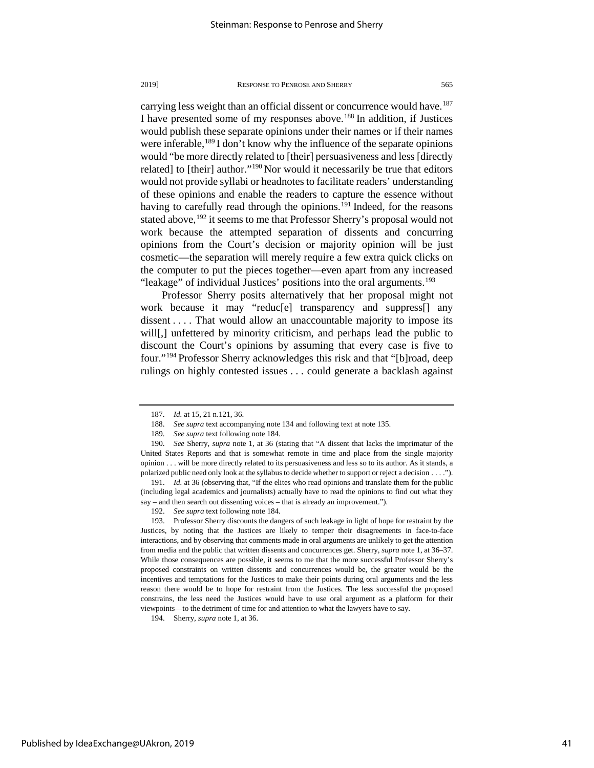carrying less weight than an official dissent or concurrence would have.<sup>187</sup> I have presented some of my responses above.<sup>[188](#page-41-1)</sup> In addition, if Justices would publish these separate opinions under their names or if their names were inferable,<sup>[189](#page-41-2)</sup> I don't know why the influence of the separate opinions would "be more directly related to [their] persuasiveness and less [directly related] to [their] author."[190](#page-41-3) Nor would it necessarily be true that editors would not provide syllabi or headnotes to facilitate readers' understanding of these opinions and enable the readers to capture the essence without having to carefully read through the opinions.<sup>[191](#page-41-4)</sup> Indeed, for the reasons stated above, <sup>[192](#page-41-5)</sup> it seems to me that Professor Sherry's proposal would not work because the attempted separation of dissents and concurring opinions from the Court's decision or majority opinion will be just cosmetic—the separation will merely require a few extra quick clicks on the computer to put the pieces together—even apart from any increased "leakage" of individual Justices' positions into the oral arguments.<sup>[193](#page-41-6)</sup>

Professor Sherry posits alternatively that her proposal might not work because it may "reduc[e] transparency and suppress[] any dissent . . . . That would allow an unaccountable majority to impose its will[,] unfettered by minority criticism, and perhaps lead the public to discount the Court's opinions by assuming that every case is five to four."[194](#page-41-7) Professor Sherry acknowledges this risk and that "[b]road, deep rulings on highly contested issues . . . could generate a backlash against

<sup>187.</sup> *Id.* at 15, 21 n.121, 36.

<sup>188.</sup> *See supra* text accompanying note 134 and following text at note 135.

<sup>189.</sup> *See supra* text following note 184.

<span id="page-41-3"></span><span id="page-41-2"></span><span id="page-41-1"></span><span id="page-41-0"></span><sup>190.</sup> *See* Sherry, *supra* note 1, at 36 (stating that "A dissent that lacks the imprimatur of the United States Reports and that is somewhat remote in time and place from the single majority opinion . . . will be more directly related to its persuasiveness and less so to its author. As it stands, a polarized public need only look at the syllabus to decide whether to support or reject a decision . . . .").

<span id="page-41-4"></span><sup>191.</sup> *Id.* at 36 (observing that, "If the elites who read opinions and translate them for the public (including legal academics and journalists) actually have to read the opinions to find out what they say – and then search out dissenting voices – that is already an improvement.").

<sup>192.</sup> *See supra* text following note 184.

<span id="page-41-6"></span><span id="page-41-5"></span><sup>193.</sup> Professor Sherry discounts the dangers of such leakage in light of hope for restraint by the Justices, by noting that the Justices are likely to temper their disagreements in face-to-face interactions, and by observing that comments made in oral arguments are unlikely to get the attention from media and the public that written dissents and concurrences get. Sherry, *supra* note 1, at 36–37. While those consequences are possible, it seems to me that the more successful Professor Sherry's proposed constraints on written dissents and concurrences would be, the greater would be the incentives and temptations for the Justices to make their points during oral arguments and the less reason there would be to hope for restraint from the Justices. The less successful the proposed constrains, the less need the Justices would have to use oral argument as a platform for their viewpoints—to the detriment of time for and attention to what the lawyers have to say.

<span id="page-41-7"></span><sup>194.</sup> Sherry, *supra* note 1, at 36.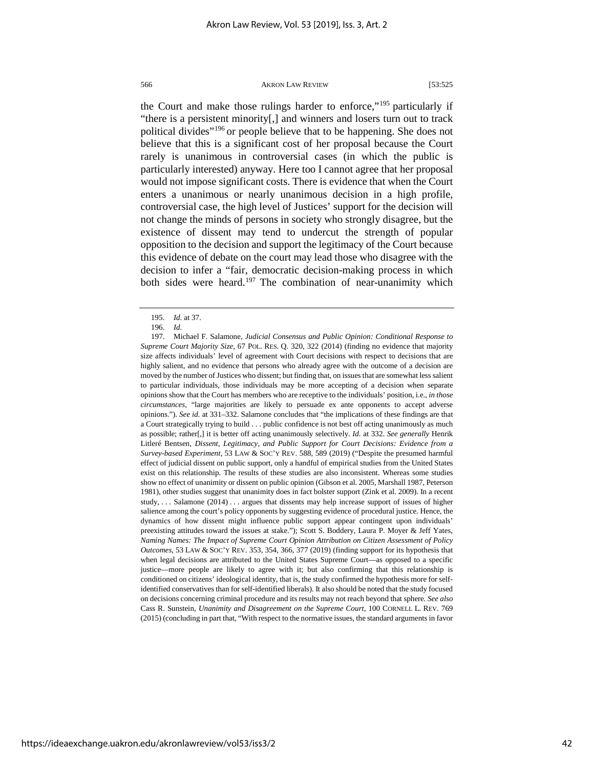the Court and make those rulings harder to enforce,"[195](#page-42-0) particularly if "there is a persistent minority[,] and winners and losers turn out to track political divides"[196](#page-42-1) or people believe that to be happening. She does not believe that this is a significant cost of her proposal because the Court rarely is unanimous in controversial cases (in which the public is particularly interested) anyway. Here too I cannot agree that her proposal would not impose significant costs. There is evidence that when the Court enters a unanimous or nearly unanimous decision in a high profile, controversial case, the high level of Justices' support for the decision will not change the minds of persons in society who strongly disagree, but the existence of dissent may tend to undercut the strength of popular opposition to the decision and support the legitimacy of the Court because this evidence of debate on the court may lead those who disagree with the decision to infer a "fair, democratic decision-making process in which both sides were heard.<sup>[197](#page-42-2)</sup> The combination of near-unanimity which

<sup>195.</sup> *Id.* at 37.

<sup>196.</sup> *Id.* 

<span id="page-42-2"></span><span id="page-42-1"></span><span id="page-42-0"></span><sup>197.</sup> Michael F. Salamone, *Judicial Consensus and Public Opinion: Conditional Response to Supreme Court Majority Size*, 67 POL. RES. Q. 320, 322 (2014) (finding no evidence that majority size affects individuals' level of agreement with Court decisions with respect to decisions that are highly salient, and no evidence that persons who already agree with the outcome of a decision are moved by the number of Justices who dissent; but finding that, on issues that are somewhat less salient to particular individuals, those individuals may be more accepting of a decision when separate opinions show that the Court has members who are receptive to the individuals' position, i.e., *in those circumstances*, "large majorities are likely to persuade ex ante opponents to accept adverse opinions."). *See id.* at 331–332. Salamone concludes that "the implications of these findings are that a Court strategically trying to build . . . public confidence is not best off acting unanimously as much as possible; rather[,] it is better off acting unanimously selectively. *Id.* at 332. *See generally* Henrik Litleré Bentsen, *Dissent, Legitimacy, and Public Support for Court Decisions: Evidence from a Survey-based Experiment*, 53 LAW & SOC'Y REV. 588, 589 (2019) ("Despite the presumed harmful effect of judicial dissent on public support, only a handful of empirical studies from the United States exist on this relationship. The results of these studies are also inconsistent. Whereas some studies show no effect of unanimity or dissent on public opinion (Gibson et al. 2005, Marshall 1987, Peterson 1981), other studies suggest that unanimity does in fact bolster support (Zink et al. 2009). In a recent study, . . . Salamone (2014) . . . argues that dissents may help increase support of issues of higher salience among the court's policy opponents by suggesting evidence of procedural justice. Hence, the dynamics of how dissent might influence public support appear contingent upon individuals' preexisting attitudes toward the issues at stake."); Scott S. Boddery, Laura P. Moyer & Jeff Yates, *Naming Names: The Impact of Supreme Court Opinion Attribution on Citizen Assessment of Policy Outcomes*, 53 LAW & SOC'Y REV. 353, 354, 366, 377 (2019) (finding support for its hypothesis that when legal decisions are attributed to the United States Supreme Court—as opposed to a specific justice—more people are likely to agree with it; but also confirming that this relationship is conditioned on citizens' ideological identity, that is, the study confirmed the hypothesis more for selfidentified conservatives than for self-identified liberals). It also should be noted that the study focused on decisions concerning criminal procedure and its results may not reach beyond that sphere. *See also* Cass R. Sunstein, *Unanimity and Disagreement on the Supreme Court*, 100 CORNELL L. REV. 769 (2015) (concluding in part that, "With respect to the normative issues, the standard arguments in favor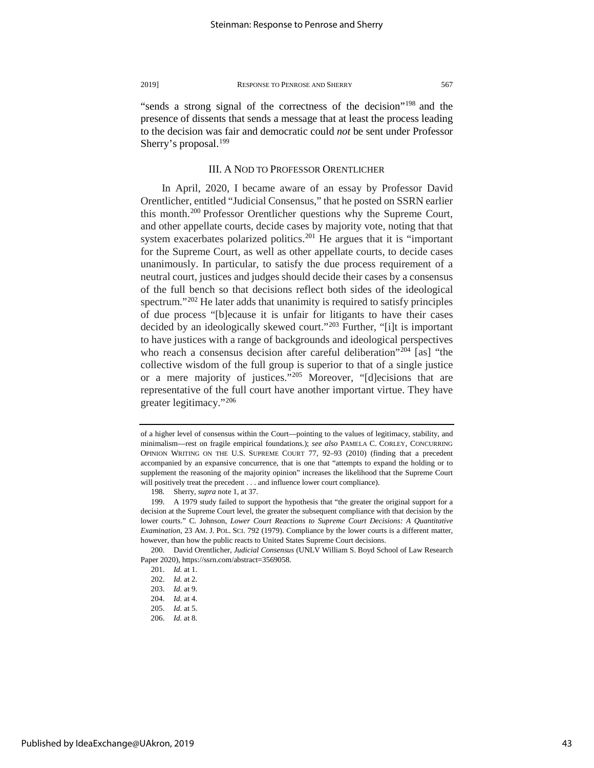"sends a strong signal of the correctness of the decision"[198](#page-43-0) and the presence of dissents that sends a message that at least the process leading to the decision was fair and democratic could *not* be sent under Professor Sherry's proposal.<sup>[199](#page-43-1)</sup>

# III. A NOD TO PROFESSOR ORENTLICHER

In April, 2020, I became aware of an essay by Professor David Orentlicher, entitled "Judicial Consensus," that he posted on SSRN earlier this month.[200](#page-43-2) Professor Orentlicher questions why the Supreme Court, and other appellate courts, decide cases by majority vote, noting that that system exacerbates polarized politics.<sup>[201](#page-43-3)</sup> He argues that it is "important" for the Supreme Court, as well as other appellate courts, to decide cases unanimously. In particular, to satisfy the due process requirement of a neutral court, justices and judges should decide their cases by a consensus of the full bench so that decisions reflect both sides of the ideological spectrum."<sup>[202](#page-43-4)</sup> He later adds that unanimity is required to satisfy principles of due process "[b]ecause it is unfair for litigants to have their cases decided by an ideologically skewed court."[203](#page-43-5) Further, "[i]t is important to have justices with a range of backgrounds and ideological perspectives who reach a consensus decision after careful deliberation"<sup>[204](#page-43-6)</sup> [as] "the collective wisdom of the full group is superior to that of a single justice or a mere majority of justices."[205](#page-43-7) Moreover, "[d]ecisions that are representative of the full court have another important virtue. They have greater legitimacy."[206](#page-43-8)

of a higher level of consensus within the Court—pointing to the values of legitimacy, stability, and minimalism—rest on fragile empirical foundations.); *see also* PAMELA C. CORLEY, CONCURRING OPINION WRITING ON THE U.S. SUPREME COURT 77, 92–93 (2010) (finding that a precedent accompanied by an expansive concurrence, that is one that "attempts to expand the holding or to supplement the reasoning of the majority opinion" increases the likelihood that the Supreme Court will positively treat the precedent . . . and influence lower court compliance).

<sup>198</sup>*.* Sherry, *supra* note 1, at 37.

<span id="page-43-1"></span><span id="page-43-0"></span><sup>199.</sup> A 1979 study failed to support the hypothesis that "the greater the original support for a decision at the Supreme Court level, the greater the subsequent compliance with that decision by the lower courts." C. Johnson, *Lower Court Reactions to Supreme Court Decisions: A Quantitative Examination*, 23 AM. J. POL. SCI. 792 (1979). Compliance by the lower courts is a different matter, however, than how the public reacts to United States Supreme Court decisions.

<span id="page-43-5"></span><span id="page-43-4"></span><span id="page-43-3"></span><span id="page-43-2"></span><sup>200.</sup> David Orentlicher*, Judicial Consensus* (UNLV William S. Boyd School of Law Research Paper 2020), https://ssrn.com/abstract=3569058.

<span id="page-43-7"></span><span id="page-43-6"></span><sup>201.</sup> *Id.* at 1.

<sup>202.</sup> *Id.* at 2.

<sup>203.</sup> *Id.* at 9.

<sup>204.</sup> *Id.* at 4.

<sup>205.</sup> *Id.* at 5.

<span id="page-43-8"></span><sup>206.</sup> *Id.* at 8.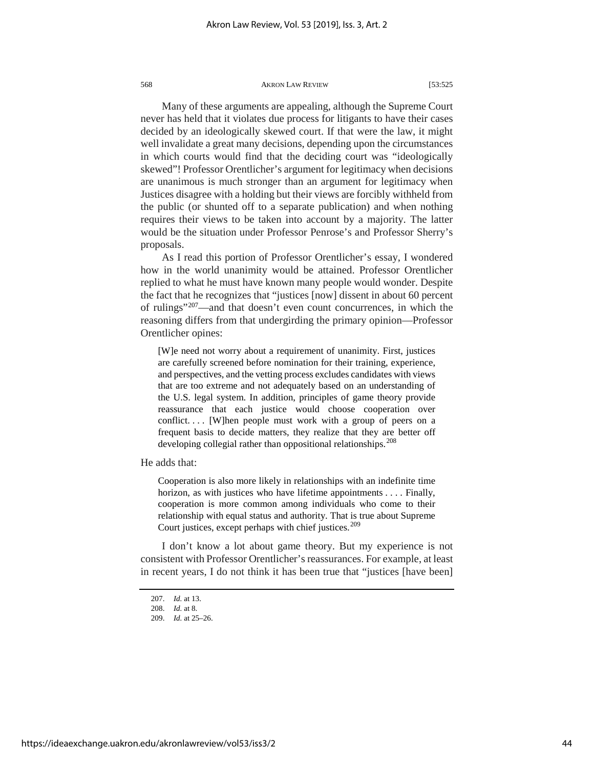Many of these arguments are appealing, although the Supreme Court never has held that it violates due process for litigants to have their cases decided by an ideologically skewed court. If that were the law, it might well invalidate a great many decisions, depending upon the circumstances in which courts would find that the deciding court was "ideologically skewed"! Professor Orentlicher's argument for legitimacy when decisions are unanimous is much stronger than an argument for legitimacy when Justices disagree with a holding but their views are forcibly withheld from the public (or shunted off to a separate publication) and when nothing requires their views to be taken into account by a majority. The latter would be the situation under Professor Penrose's and Professor Sherry's proposals.

As I read this portion of Professor Orentlicher's essay, I wondered how in the world unanimity would be attained. Professor Orentlicher replied to what he must have known many people would wonder. Despite the fact that he recognizes that "justices [now] dissent in about 60 percent of rulings"[207](#page-44-0)—and that doesn't even count concurrences, in which the reasoning differs from that undergirding the primary opinion—Professor Orentlicher opines:

[W]e need not worry about a requirement of unanimity. First, justices are carefully screened before nomination for their training, experience, and perspectives, and the vetting process excludes candidates with views that are too extreme and not adequately based on an understanding of the U.S. legal system. In addition, principles of game theory provide reassurance that each justice would choose cooperation over conflict.... [W]hen people must work with a group of peers on a frequent basis to decide matters, they realize that they are better off developing collegial rather than oppositional relationships.<sup>[208](#page-44-1)</sup>

He adds that:

Cooperation is also more likely in relationships with an indefinite time horizon, as with justices who have lifetime appointments . . . . Finally, cooperation is more common among individuals who come to their relationship with equal status and authority. That is true about Supreme Court justices, except perhaps with chief justices.<sup>[209](#page-44-2)</sup>

<span id="page-44-0"></span>I don't know a lot about game theory. But my experience is not consistent with Professor Orentlicher's reassurances. For example, at least in recent years, I do not think it has been true that "justices [have been]

<sup>207.</sup> *Id.* at 13.

<sup>208.</sup> *Id.* at 8.

<span id="page-44-2"></span><span id="page-44-1"></span><sup>209.</sup> *Id.* at 25–26.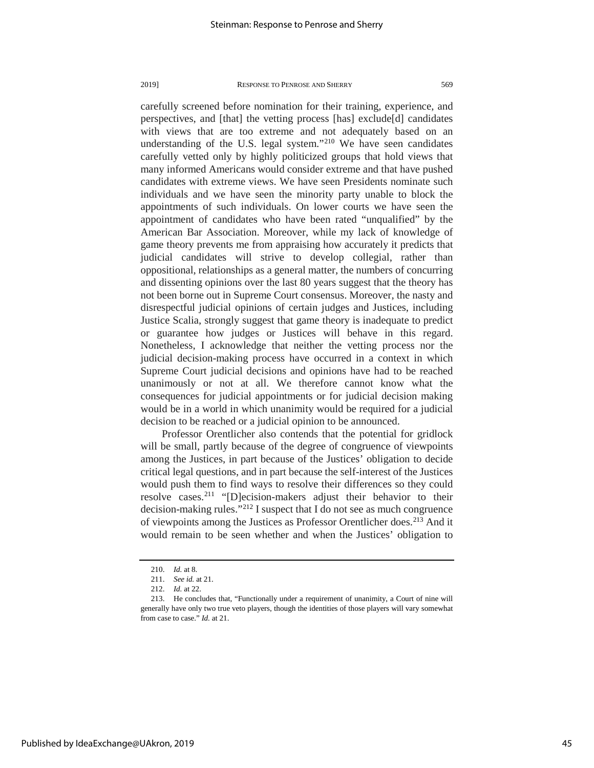carefully screened before nomination for their training, experience, and perspectives, and [that] the vetting process [has] exclude[d] candidates with views that are too extreme and not adequately based on an understanding of the U.S. legal system."[210](#page-45-0) We have seen candidates carefully vetted only by highly politicized groups that hold views that many informed Americans would consider extreme and that have pushed candidates with extreme views. We have seen Presidents nominate such individuals and we have seen the minority party unable to block the appointments of such individuals. On lower courts we have seen the appointment of candidates who have been rated "unqualified" by the American Bar Association. Moreover, while my lack of knowledge of game theory prevents me from appraising how accurately it predicts that judicial candidates will strive to develop collegial, rather than oppositional, relationships as a general matter, the numbers of concurring and dissenting opinions over the last 80 years suggest that the theory has not been borne out in Supreme Court consensus. Moreover, the nasty and disrespectful judicial opinions of certain judges and Justices, including Justice Scalia, strongly suggest that game theory is inadequate to predict or guarantee how judges or Justices will behave in this regard. Nonetheless, I acknowledge that neither the vetting process nor the judicial decision-making process have occurred in a context in which Supreme Court judicial decisions and opinions have had to be reached unanimously or not at all. We therefore cannot know what the consequences for judicial appointments or for judicial decision making would be in a world in which unanimity would be required for a judicial decision to be reached or a judicial opinion to be announced.

Professor Orentlicher also contends that the potential for gridlock will be small, partly because of the degree of congruence of viewpoints among the Justices, in part because of the Justices' obligation to decide critical legal questions, and in part because the self-interest of the Justices would push them to find ways to resolve their differences so they could resolve cases.[211](#page-45-1) "[D]ecision-makers adjust their behavior to their decision-making rules.["212](#page-45-2) I suspect that I do not see as much congruence of viewpoints among the Justices as Professor Orentlicher does.[213](#page-45-3) And it would remain to be seen whether and when the Justices' obligation to

<sup>210.</sup> *Id.* at 8.

<sup>211.</sup> *See id.* at 21.

<sup>212.</sup> *Id.* at 22.

<span id="page-45-3"></span><span id="page-45-2"></span><span id="page-45-1"></span><span id="page-45-0"></span><sup>213.</sup> He concludes that, "Functionally under a requirement of unanimity, a Court of nine will generally have only two true veto players, though the identities of those players will vary somewhat from case to case." *Id.* at 21.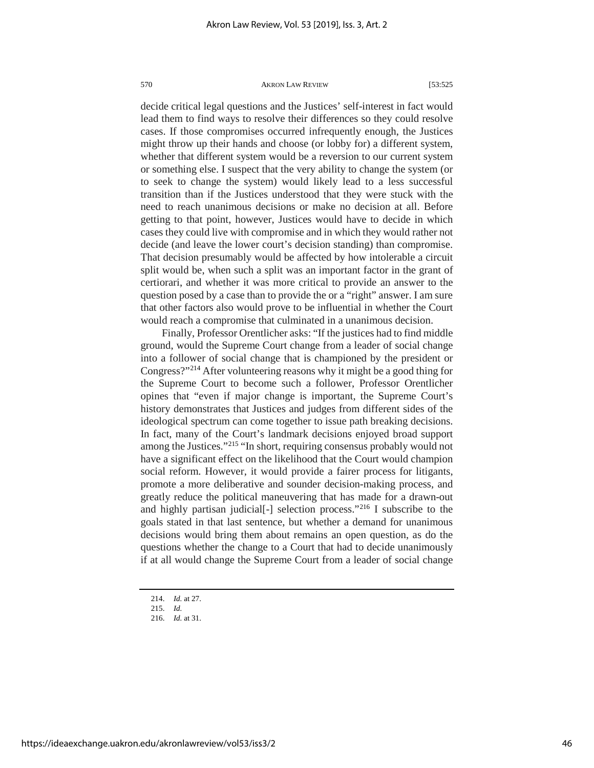decide critical legal questions and the Justices' self-interest in fact would lead them to find ways to resolve their differences so they could resolve cases. If those compromises occurred infrequently enough, the Justices might throw up their hands and choose (or lobby for) a different system, whether that different system would be a reversion to our current system or something else. I suspect that the very ability to change the system (or to seek to change the system) would likely lead to a less successful transition than if the Justices understood that they were stuck with the need to reach unanimous decisions or make no decision at all. Before getting to that point, however, Justices would have to decide in which cases they could live with compromise and in which they would rather not decide (and leave the lower court's decision standing) than compromise. That decision presumably would be affected by how intolerable a circuit split would be, when such a split was an important factor in the grant of certiorari, and whether it was more critical to provide an answer to the question posed by a case than to provide the or a "right" answer. I am sure that other factors also would prove to be influential in whether the Court would reach a compromise that culminated in a unanimous decision.

Finally, Professor Orentlicher asks: "If the justices had to find middle ground, would the Supreme Court change from a leader of social change into a follower of social change that is championed by the president or Congress?"[214](#page-46-0) After volunteering reasons why it might be a good thing for the Supreme Court to become such a follower, Professor Orentlicher opines that "even if major change is important, the Supreme Court's history demonstrates that Justices and judges from different sides of the ideological spectrum can come together to issue path breaking decisions. In fact, many of the Court's landmark decisions enjoyed broad support among the Justices.["215](#page-46-1) "In short, requiring consensus probably would not have a significant effect on the likelihood that the Court would champion social reform. However, it would provide a fairer process for litigants, promote a more deliberative and sounder decision-making process, and greatly reduce the political maneuvering that has made for a drawn-out and highly partisan judicial[-] selection process."[216](#page-46-2) I subscribe to the goals stated in that last sentence, but whether a demand for unanimous decisions would bring them about remains an open question, as do the questions whether the change to a Court that had to decide unanimously if at all would change the Supreme Court from a leader of social change

<sup>214.</sup> *Id.* at 27.

<span id="page-46-0"></span><sup>215.</sup> *Id.*

<span id="page-46-2"></span><span id="page-46-1"></span><sup>216.</sup> *Id.* at 31.